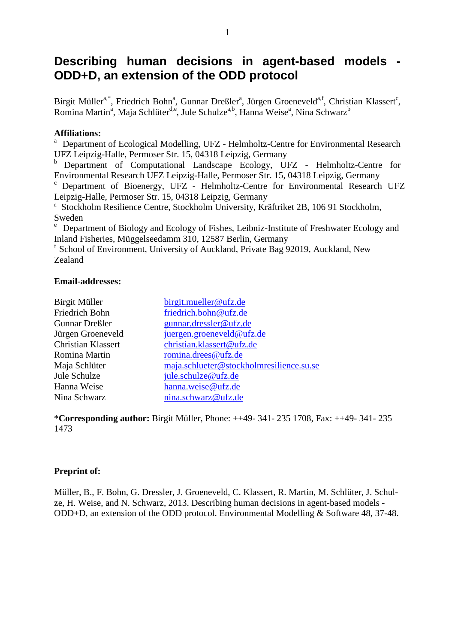## **Describing human decisions in agent-based models - ODD+D, an extension of the ODD protocol**

Birgit Müller<sup>a,\*</sup>, Friedrich Bohn<sup>a</sup>, Gunnar Dreßler<sup>a</sup>, Jürgen Groeneveld<sup>a,f</sup>, Christian Klassert<sup>c</sup>, Romina Martin<sup>a</sup>, Maja Schlüter<sup>d,e</sup>, Jule Schulze<sup>a,b</sup>, Hanna Weise<sup>a</sup>, Nina Schwarz<sup>b</sup>

#### **Affiliations:**

<sup>a</sup> Department of Ecological Modelling, UFZ - Helmholtz-Centre for Environmental Research UFZ Leipzig-Halle, Permoser Str. 15, 04318 Leipzig, Germany

<sup>b</sup> Department of Computational Landscape Ecology, UFZ - Helmholtz-Centre for Environmental Research UFZ Leipzig-Halle, Permoser Str. 15, 04318 Leipzig, Germany<br>
<sup>c</sup> Department of Bioenergy, UFZ - Helmholtz-Centre for Environmental Research UFZ

Leipzig-Halle, Permoser Str. 15, 04318 Leipzig, Germany

<sup>d</sup> Stockholm Resilience Centre, Stockholm University, Kräftriket 2B, 106 91 Stockholm, Sweden

<sup>e</sup> Department of Biology and Ecology of Fishes, Leibniz-Institute of Freshwater Ecology and Inland Fisheries, Müggelseedamm 310, 12587 Berlin, Germany

f School of Environment, University of Auckland, Private Bag 92019, Auckland, New Zealand

#### **Email-addresses:**

| Birgit Müller             | birgit.mueller@ufz.de                    |
|---------------------------|------------------------------------------|
| Friedrich Bohn            | friedrich.bohn@ufz.de                    |
| <b>Gunnar Dreßler</b>     | gunnar.dressler@ufz.de                   |
| Jürgen Groeneveld         | juergen.groeneveld@ufz.de                |
| <b>Christian Klassert</b> | christian.klassert@ufz.de                |
| Romina Martin             | romina.drees@ufz.de                      |
| Maja Schlüter             | maja.schlueter@stockholmresilience.su.se |
| Jule Schulze              | jule.schulze@ufz.de                      |
| Hanna Weise               | hanna.weise@ufz.de                       |
| Nina Schwarz              | nina.schwarz@ufz.de                      |
|                           |                                          |

\***Corresponding author:** Birgit Müller, Phone: ++49- 341- 235 1708, Fax: ++49- 341- 235 1473

#### **Preprint of:**

Müller, B., F. Bohn, G. Dressler, J. Groeneveld, C. Klassert, R. Martin, M. Schlüter, J. Schulze, H. Weise, and N. Schwarz, 2013. Describing human decisions in agent-based models - ODD+D, an extension of the ODD protocol. Environmental Modelling & Software 48, 37-48.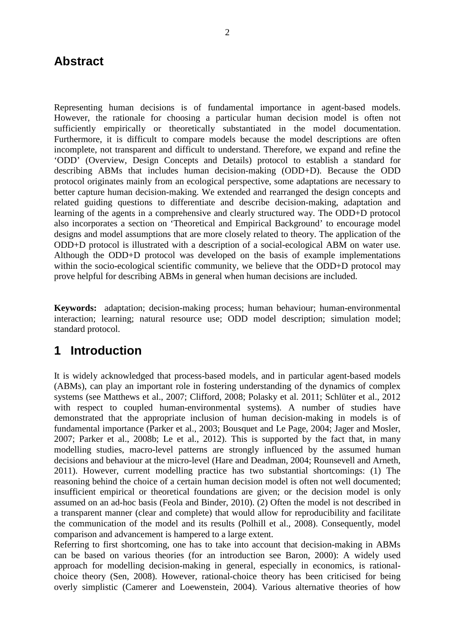## **Abstract**

Representing human decisions is of fundamental importance in agent-based models. However, the rationale for choosing a particular human decision model is often not sufficiently empirically or theoretically substantiated in the model documentation. Furthermore, it is difficult to compare models because the model descriptions are often incomplete, not transparent and difficult to understand. Therefore, we expand and refine the 'ODD' (Overview, Design Concepts and Details) protocol to establish a standard for describing ABMs that includes human decision-making (ODD+D). Because the ODD protocol originates mainly from an ecological perspective, some adaptations are necessary to better capture human decision-making. We extended and rearranged the design concepts and related guiding questions to differentiate and describe decision-making, adaptation and learning of the agents in a comprehensive and clearly structured way. The ODD+D protocol also incorporates a section on 'Theoretical and Empirical Background' to encourage model designs and model assumptions that are more closely related to theory. The application of the ODD+D protocol is illustrated with a description of a social-ecological ABM on water use. Although the ODD+D protocol was developed on the basis of example implementations within the socio-ecological scientific community, we believe that the ODD+D protocol may prove helpful for describing ABMs in general when human decisions are included.

**Keywords:** adaptation; decision-making process; human behaviour; human-environmental interaction; learning; natural resource use; ODD model description; simulation model; standard protocol.

# **1 Introduction**

It is widely acknowledged that process-based models, and in particular agent-based models (ABMs), can play an important role in fostering understanding of the dynamics of complex systems (see Matthews et al., 2007; Clifford, 2008; Polasky et al. 2011; Schlüter et al., 2012 with respect to coupled human-environmental systems). A number of studies have demonstrated that the appropriate inclusion of human decision-making in models is of fundamental importance (Parker et al., 2003; Bousquet and Le Page, 2004; Jager and Mosler, 2007; Parker et al., 2008b; Le et al., 2012). This is supported by the fact that, in many modelling studies, macro-level patterns are strongly influenced by the assumed human decisions and behaviour at the micro-level (Hare and Deadman, 2004; Rounsevell and Arneth, 2011). However, current modelling practice has two substantial shortcomings: (1) The reasoning behind the choice of a certain human decision model is often not well documented; insufficient empirical or theoretical foundations are given; or the decision model is only assumed on an ad-hoc basis (Feola and Binder, 2010). (2) Often the model is not described in a transparent manner (clear and complete) that would allow for reproducibility and facilitate the communication of the model and its results (Polhill et al., 2008). Consequently, model comparison and advancement is hampered to a large extent.

Referring to first shortcoming, one has to take into account that decision-making in ABMs can be based on various theories (for an introduction see Baron, 2000): A widely used approach for modelling decision-making in general, especially in economics, is rationalchoice theory (Sen, 2008). However, rational-choice theory has been criticised for being overly simplistic (Camerer and Loewenstein, 2004). Various alternative theories of how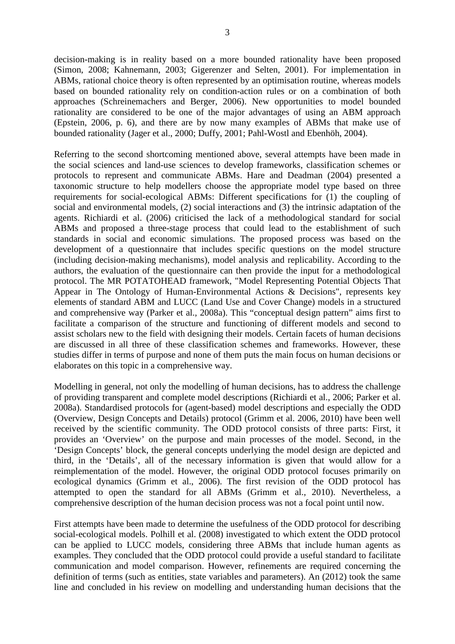decision-making is in reality based on a more bounded rationality have been proposed (Simon, 2008; Kahnemann, 2003; Gigerenzer and Selten, 2001). For implementation in ABMs, rational choice theory is often represented by an optimisation routine, whereas models based on bounded rationality rely on condition-action rules or on a combination of both approaches (Schreinemachers and Berger, 2006). New opportunities to model bounded rationality are considered to be one of the major advantages of using an ABM approach (Epstein, 2006, p. 6), and there are by now many examples of ABMs that make use of bounded rationality (Jager et al., 2000; Duffy, 2001; Pahl-Wostl and Ebenhöh, 2004).

Referring to the second shortcoming mentioned above, several attempts have been made in the social sciences and land-use sciences to develop frameworks, classification schemes or protocols to represent and communicate ABMs. Hare and Deadman (2004) presented a taxonomic structure to help modellers choose the appropriate model type based on three requirements for social-ecological ABMs: Different specifications for (1) the coupling of social and environmental models, (2) social interactions and (3) the intrinsic adaptation of the agents. Richiardi et al. (2006) criticised the lack of a methodological standard for social ABMs and proposed a three-stage process that could lead to the establishment of such standards in social and economic simulations. The proposed process was based on the development of a questionnaire that includes specific questions on the model structure (including decision-making mechanisms), model analysis and replicability. According to the authors, the evaluation of the questionnaire can then provide the input for a methodological protocol. The MR POTATOHEAD framework, "Model Representing Potential Objects That Appear in The Ontology of Human-Environmental Actions  $\&$  Decisions", represents key elements of standard ABM and LUCC (Land Use and Cover Change) models in a structured and comprehensive way (Parker et al., 2008a). This "conceptual design pattern" aims first to facilitate a comparison of the structure and functioning of different models and second to assist scholars new to the field with designing their models. Certain facets of human decisions are discussed in all three of these classification schemes and frameworks. However, these studies differ in terms of purpose and none of them puts the main focus on human decisions or elaborates on this topic in a comprehensive way.

Modelling in general, not only the modelling of human decisions, has to address the challenge of providing transparent and complete model descriptions (Richiardi et al., 2006; Parker et al. 2008a). Standardised protocols for (agent-based) model descriptions and especially the ODD (Overview, Design Concepts and Details) protocol (Grimm et al. 2006, 2010) have been well received by the scientific community. The ODD protocol consists of three parts: First, it provides an 'Overview' on the purpose and main processes of the model. Second, in the 'Design Concepts' block, the general concepts underlying the model design are depicted and third, in the 'Details', all of the necessary information is given that would allow for a reimplementation of the model. However, the original ODD protocol focuses primarily on ecological dynamics (Grimm et al., 2006). The first revision of the ODD protocol has attempted to open the standard for all ABMs (Grimm et al., 2010). Nevertheless, a comprehensive description of the human decision process was not a focal point until now.

First attempts have been made to determine the usefulness of the ODD protocol for describing social-ecological models. Polhill et al. (2008) investigated to which extent the ODD protocol can be applied to LUCC models, considering three ABMs that include human agents as examples. They concluded that the ODD protocol could provide a useful standard to facilitate communication and model comparison. However, refinements are required concerning the definition of terms (such as entities, state variables and parameters). An (2012) took the same line and concluded in his review on modelling and understanding human decisions that the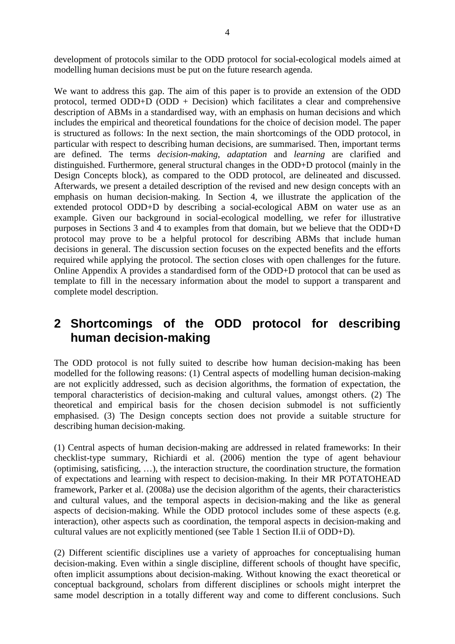development of protocols similar to the ODD protocol for social-ecological models aimed at modelling human decisions must be put on the future research agenda.

We want to address this gap. The aim of this paper is to provide an extension of the ODD protocol, termed ODD+D (ODD + Decision) which facilitates a clear and comprehensive description of ABMs in a standardised way, with an emphasis on human decisions and which includes the empirical and theoretical foundations for the choice of decision model. The paper is structured as follows: In the next section, the main shortcomings of the ODD protocol, in particular with respect to describing human decisions, are summarised. Then, important terms are defined. The terms *decision-making*, *adaptation* and *learning* are clarified and distinguished. Furthermore, general structural changes in the ODD+D protocol (mainly in the Design Concepts block), as compared to the ODD protocol, are delineated and discussed. Afterwards, we present a detailed description of the revised and new design concepts with an emphasis on human decision-making. In Section [4,](#page-15-0) we illustrate the application of the extended protocol ODD+D by describing a social-ecological ABM on water use as an example. Given our background in social-ecological modelling, we refer for illustrative purposes in Sections 3 and 4 to examples from that domain, but we believe that the ODD+D protocol may prove to be a helpful protocol for describing ABMs that include human decisions in general. The discussion section focuses on the expected benefits and the efforts required while applying the protocol. The section closes with open challenges for the future. Online Appendix A provides a standardised form of the ODD+D protocol that can be used as template to fill in the necessary information about the model to support a transparent and complete model description.

# **2 Shortcomings of the ODD protocol for describing human decision-making**

The ODD protocol is not fully suited to describe how human decision-making has been modelled for the following reasons: (1) Central aspects of modelling human decision-making are not explicitly addressed, such as decision algorithms, the formation of expectation, the temporal characteristics of decision-making and cultural values, amongst others. (2) The theoretical and empirical basis for the chosen decision submodel is not sufficiently emphasised. (3) The Design concepts section does not provide a suitable structure for describing human decision-making.

(1) Central aspects of human decision-making are addressed in related frameworks: In their checklist-type summary, Richiardi et al. (2006) mention the type of agent behaviour (optimising, satisficing, …), the interaction structure, the coordination structure, the formation of expectations and learning with respect to decision-making. In their MR POTATOHEAD framework, Parker et al. (2008a) use the decision algorithm of the agents, their characteristics and cultural values, and the temporal aspects in decision-making and the like as general aspects of decision-making. While the ODD protocol includes some of these aspects (e.g. interaction), other aspects such as coordination, the temporal aspects in decision-making and cultural values are not explicitly mentioned (see Table 1 Section II.ii of ODD+D).

(2) Different scientific disciplines use a variety of approaches for conceptualising human decision-making. Even within a single discipline, different schools of thought have specific, often implicit assumptions about decision-making. Without knowing the exact theoretical or conceptual background, scholars from different disciplines or schools might interpret the same model description in a totally different way and come to different conclusions. Such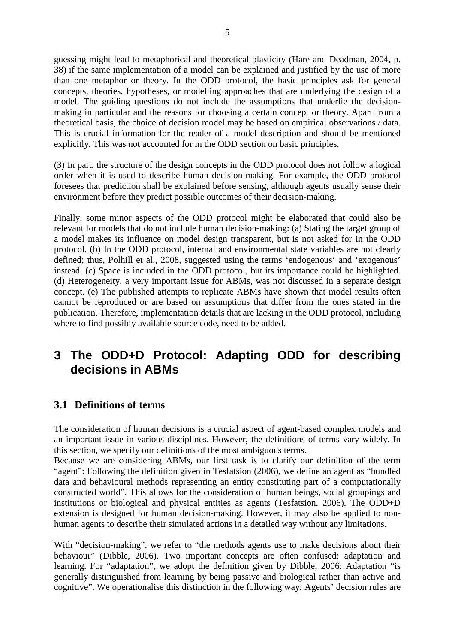guessing might lead to metaphorical and theoretical plasticity (Hare and Deadman, 2004, p. 38) if the same implementation of a model can be explained and justified by the use of more than one metaphor or theory. In the ODD protocol, the basic principles ask for general concepts, theories, hypotheses, or modelling approaches that are underlying the design of a model. The guiding questions do not include the assumptions that underlie the decisionmaking in particular and the reasons for choosing a certain concept or theory. Apart from a theoretical basis, the choice of decision model may be based on empirical observations / data. This is crucial information for the reader of a model description and should be mentioned explicitly. This was not accounted for in the ODD section on basic principles.

(3) In part, the structure of the design concepts in the ODD protocol does not follow a logical order when it is used to describe human decision-making. For example, the ODD protocol foresees that prediction shall be explained before sensing, although agents usually sense their environment before they predict possible outcomes of their decision-making.

Finally, some minor aspects of the ODD protocol might be elaborated that could also be relevant for models that do not include human decision-making: (a) Stating the target group of a model makes its influence on model design transparent, but is not asked for in the ODD protocol. (b) In the ODD protocol, internal and environmental state variables are not clearly defined; thus, Polhill et al., 2008, suggested using the terms 'endogenous' and 'exogenous' instead. (c) Space is included in the ODD protocol, but its importance could be highlighted. (d) Heterogeneity, a very important issue for ABMs, was not discussed in a separate design concept. (e) The published attempts to replicate ABMs have shown that model results often cannot be reproduced or are based on assumptions that differ from the ones stated in the publication. Therefore, implementation details that are lacking in the ODD protocol, including where to find possibly available source code, need to be added.

# **3 The ODD+D Protocol: Adapting ODD for describing decisions in ABMs**

## <span id="page-4-0"></span>**3.1 Definitions of terms**

The consideration of human decisions is a crucial aspect of agent-based complex models and an important issue in various disciplines. However, the definitions of terms vary widely. In this section, we specify our definitions of the most ambiguous terms.

Because we are considering ABMs, our first task is to clarify our definition of the term "agent": Following the definition given in Tesfatsion (2006), we define an agent as "bundled data and behavioural methods representing an entity constituting part of a computationally constructed world". This allows for the consideration of human beings, social groupings and institutions or biological and physical entities as agents (Tesfatsion, 2006). The ODD+D extension is designed for human decision-making. However, it may also be applied to nonhuman agents to describe their simulated actions in a detailed way without any limitations.

With "decision-making", we refer to "the methods agents use to make decisions about their behaviour" (Dibble, 2006). Two important concepts are often confused: adaptation and learning. For "adaptation", we adopt the definition given by Dibble, 2006: Adaptation "is generally distinguished from learning by being passive and biological rather than active and cognitive". We operationalise this distinction in the following way: Agents' decision rules are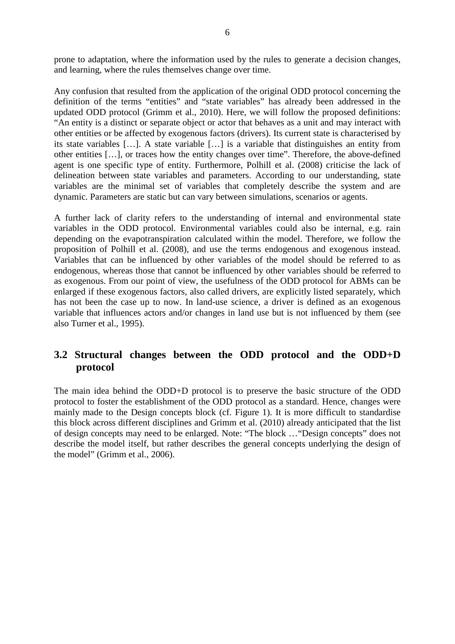prone to adaptation, where the information used by the rules to generate a decision changes, and learning, where the rules themselves change over time.

Any confusion that resulted from the application of the original ODD protocol concerning the definition of the terms "entities" and "state variables" has already been addressed in the updated ODD protocol (Grimm et al., 2010). Here, we will follow the proposed definitions: "An entity is a distinct or separate object or actor that behaves as a unit and may interact with other entities or be affected by exogenous factors (drivers). Its current state is characterised by its state variables […]. A state variable […] is a variable that distinguishes an entity from other entities […], or traces how the entity changes over time". Therefore, the above-defined agent is one specific type of entity. Furthermore, Polhill et al. (2008) criticise the lack of delineation between state variables and parameters. According to our understanding, state variables are the minimal set of variables that completely describe the system and are dynamic. Parameters are static but can vary between simulations, scenarios or agents.

A further lack of clarity refers to the understanding of internal and environmental state variables in the ODD protocol. Environmental variables could also be internal, e.g. rain depending on the evapotranspiration calculated within the model. Therefore, we follow the proposition of Polhill et al. (2008), and use the terms endogenous and exogenous instead. Variables that can be influenced by other variables of the model should be referred to as endogenous, whereas those that cannot be influenced by other variables should be referred to as exogenous. From our point of view, the usefulness of the ODD protocol for ABMs can be enlarged if these exogenous factors, also called drivers, are explicitly listed separately, which has not been the case up to now. In land-use science, a driver is defined as an exogenous variable that influences actors and/or changes in land use but is not influenced by them (see also Turner et al., 1995).

## **3.2 Structural changes between the ODD protocol and the ODD+D protocol**

The main idea behind the ODD+D protocol is to preserve the basic structure of the ODD protocol to foster the establishment of the ODD protocol as a standard. Hence, changes were mainly made to the Design concepts block (cf. Figure 1). It is more difficult to standardise this block across different disciplines and Grimm et al. (2010) already anticipated that the list of design concepts may need to be enlarged. Note: "The block …"Design concepts" does not describe the model itself, but rather describes the general concepts underlying the design of the model" (Grimm et al., 2006).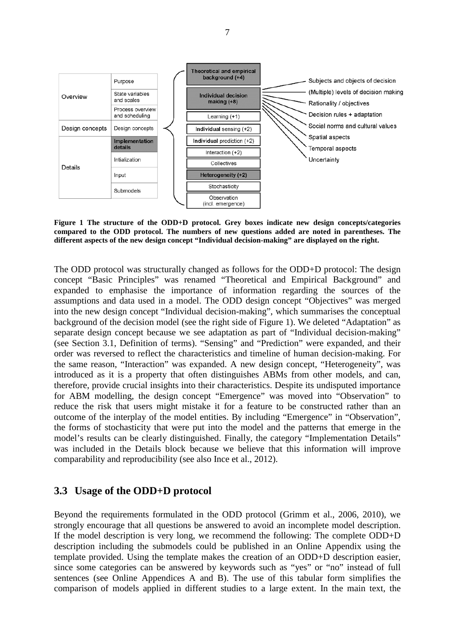

**Figure 1 The structure of the ODD+D protocol. Grey boxes indicate new design concepts/categories compared to the ODD protocol. The numbers of new questions added are noted in parentheses. The different aspects of the new design concept "Individual decision-making" are displayed on the right.** 

The ODD protocol was structurally changed as follows for the ODD+D protocol: The design concept "Basic Principles" was renamed "Theoretical and Empirical Background" and expanded to emphasise the importance of information regarding the sources of the assumptions and data used in a model. The ODD design concept "Objectives" was merged into the new design concept "Individual decision-making", which summarises the conceptual background of the decision model (see the right side of Figure 1). We deleted "Adaptation" as separate design concept because we see adaptation as part of "Individual decision-making" (see Section 3.1, Definition of terms). "Sensing" and "Prediction" were expanded, and their order was reversed to reflect the characteristics and timeline of human decision-making. For the same reason, "Interaction" was expanded. A new design concept, "Heterogeneity", was introduced as it is a property that often distinguishes ABMs from other models, and can, therefore, provide crucial insights into their characteristics. Despite its undisputed importance for ABM modelling, the design concept "Emergence" was moved into "Observation" to reduce the risk that users might mistake it for a feature to be constructed rather than an outcome of the interplay of the model entities. By including "Emergence" in "Observation", the forms of stochasticity that were put into the model and the patterns that emerge in the model's results can be clearly distinguished. Finally, the category "Implementation Details" was included in the Details block because we believe that this information will improve comparability and reproducibility (see also Ince et al., 2012).

#### **3.3 Usage of the ODD+D protocol**

Beyond the requirements formulated in the ODD protocol (Grimm et al., 2006, 2010), we strongly encourage that all questions be answered to avoid an incomplete model description. If the model description is very long, we recommend the following: The complete ODD+D description including the submodels could be published in an Online Appendix using the template provided. Using the template makes the creation of an ODD+D description easier, since some categories can be answered by keywords such as "yes" or "no" instead of full sentences (see Online Appendices A and B). The use of this tabular form simplifies the comparison of models applied in different studies to a large extent. In the main text, the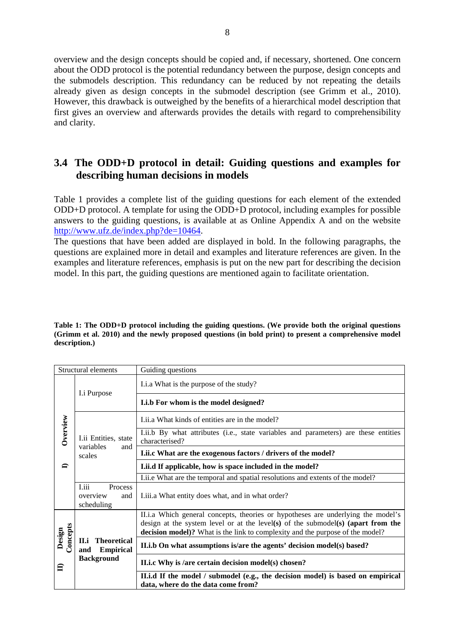overview and the design concepts should be copied and, if necessary, shortened. One concern about the ODD protocol is the potential redundancy between the purpose, design concepts and the submodels description. This redundancy can be reduced by not repeating the details already given as design concepts in the submodel description (see Grimm et al., 2010). However, this drawback is outweighed by the benefits of a hierarchical model description that first gives an overview and afterwards provides the details with regard to comprehensibility and clarity.

## **3.4 The ODD+D protocol in detail: Guiding questions and examples for describing human decisions in models**

Table 1 provides a complete list of the guiding questions for each element of the extended ODD+D protocol. A template for using the ODD+D protocol, including examples for possible answers to the guiding questions, is available at as Online Appendix A and on the website [http://www.ufz.de/index.php?de=10464.](http://www.ufz.de/index.php?de=10464)

The questions that have been added are displayed in bold. In the following paragraphs, the questions are explained more in detail and examples and literature references are given. In the examples and literature references, emphasis is put on the new part for describing the decision model. In this part, the guiding questions are mentioned again to facilitate orientation.

**Table 1: The ODD+D protocol including the guiding questions. (We provide both the original questions (Grimm et al. 2010) and the newly proposed questions (in bold print) to present a comprehensive model description.)**

|                    | Structural elements                                   | Guiding questions                                                                                                                                                                                                                                     |  |
|--------------------|-------------------------------------------------------|-------------------------------------------------------------------------------------------------------------------------------------------------------------------------------------------------------------------------------------------------------|--|
|                    | I.i Purpose                                           | I.i.a What is the purpose of the study?                                                                                                                                                                                                               |  |
|                    |                                                       | Li.b For whom is the model designed?                                                                                                                                                                                                                  |  |
|                    |                                                       | Lii.a What kinds of entities are in the model?                                                                                                                                                                                                        |  |
| Overview           | Lii Entities, state                                   | I.ii.b By what attributes (i.e., state variables and parameters) are these entities<br>characterised?                                                                                                                                                 |  |
|                    | variables<br>and<br>scales                            | Lii.c What are the exogenous factors / drivers of the model?                                                                                                                                                                                          |  |
| ⊟                  |                                                       | I.ii.d If applicable, how is space included in the model?                                                                                                                                                                                             |  |
|                    |                                                       | I.i.e What are the temporal and spatial resolutions and extents of the model?                                                                                                                                                                         |  |
|                    | Liii<br>Process                                       |                                                                                                                                                                                                                                                       |  |
|                    | overview<br>and                                       | I.iii.a What entity does what, and in what order?                                                                                                                                                                                                     |  |
|                    | scheduling                                            |                                                                                                                                                                                                                                                       |  |
|                    |                                                       | II.i.a Which general concepts, theories or hypotheses are underlying the model's<br>design at the system level or at the level(s) of the submodel(s) (apart from the<br>decision model)? What is the link to complexity and the purpose of the model? |  |
| Concepts<br>Design | <b>Theoretical</b><br>II.i<br><b>Empirical</b><br>and | II.i.b On what assumptions is/are the agents' decision model(s) based?                                                                                                                                                                                |  |
| 日                  | <b>Background</b>                                     | II.i.c Why is /are certain decision model(s) chosen?                                                                                                                                                                                                  |  |
|                    |                                                       | II.i.d If the model / submodel (e.g., the decision model) is based on empirical<br>data, where do the data come from?                                                                                                                                 |  |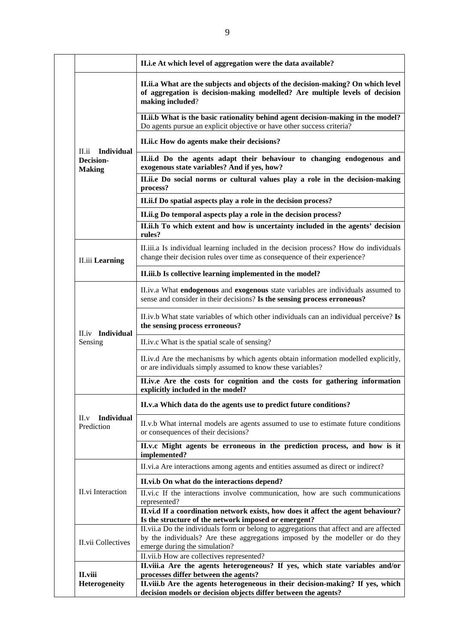|                                         | II.i.e At which level of aggregation were the data available?                                                                                                                       |  |
|-----------------------------------------|-------------------------------------------------------------------------------------------------------------------------------------------------------------------------------------|--|
|                                         | II.ii.a What are the subjects and objects of the decision-making? On which level<br>of aggregation is decision-making modelled? Are multiple levels of decision<br>making included? |  |
|                                         | II.ii.b What is the basic rationality behind agent decision-making in the model?<br>Do agents pursue an explicit objective or have other success criteria?                          |  |
| <b>Individual</b><br>II.ii              | II.ii.c How do agents make their decisions?                                                                                                                                         |  |
| Decision-<br><b>Making</b>              | II.ii.d Do the agents adapt their behaviour to changing endogenous and<br>exogenous state variables? And if yes, how?                                                               |  |
|                                         | II.ii.e Do social norms or cultural values play a role in the decision-making<br>process?                                                                                           |  |
|                                         | II.ii.f Do spatial aspects play a role in the decision process?                                                                                                                     |  |
|                                         | II.ii.g Do temporal aspects play a role in the decision process?                                                                                                                    |  |
|                                         | II.ii.h To which extent and how is uncertainty included in the agents' decision<br>rules?                                                                                           |  |
| <b>II.iii Learning</b>                  | II.iii.a Is individual learning included in the decision process? How do individuals<br>change their decision rules over time as consequence of their experience?                   |  |
|                                         | II.iii.b Is collective learning implemented in the model?                                                                                                                           |  |
|                                         | II.iv.a What <b>endogenous</b> and <b>exogenous</b> state variables are individuals assumed to<br>sense and consider in their decisions? Is the sensing process erroneous?          |  |
| II.iv Individual                        | II.iv.b What state variables of which other individuals can an individual perceive? Is<br>the sensing process erroneous?                                                            |  |
| Sensing                                 | II.iv.c What is the spatial scale of sensing?                                                                                                                                       |  |
|                                         | II.iv.d Are the mechanisms by which agents obtain information modelled explicitly,<br>or are individuals simply assumed to know these variables?                                    |  |
|                                         | II.iv.e Are the costs for cognition and the costs for gathering information<br>explicitly included in the model?                                                                    |  |
|                                         | II.v.a Which data do the agents use to predict future conditions?                                                                                                                   |  |
| <b>Individual</b><br>II.v<br>Prediction | II.v.b What internal models are agents assumed to use to estimate future conditions<br>or consequences of their decisions?                                                          |  |
|                                         | II.v.c Might agents be erroneous in the prediction process, and how is it<br>implemented?                                                                                           |  |
|                                         | II.vi.a Are interactions among agents and entities assumed as direct or indirect?                                                                                                   |  |
|                                         | II.vi.b On what do the interactions depend?                                                                                                                                         |  |
| II.vi Interaction                       | II.vi.c If the interactions involve communication, how are such communications<br>represented?                                                                                      |  |
|                                         | II.vi.d If a coordination network exists, how does it affect the agent behaviour?<br>Is the structure of the network imposed or emergent?                                           |  |
|                                         | II.vii.a Do the individuals form or belong to aggregations that affect and are affected                                                                                             |  |
| II.vii Collectives                      | by the individuals? Are these aggregations imposed by the modeller or do they<br>emerge during the simulation?                                                                      |  |
|                                         | II.vii.b How are collectives represented?                                                                                                                                           |  |
| II.viii                                 | II.viii.a Are the agents heterogeneous? If yes, which state variables and/or<br>processes differ between the agents?                                                                |  |
| Heterogeneity                           | II.viii.b Are the agents heterogeneous in their decision-making? If yes, which                                                                                                      |  |
|                                         | decision models or decision objects differ between the agents?                                                                                                                      |  |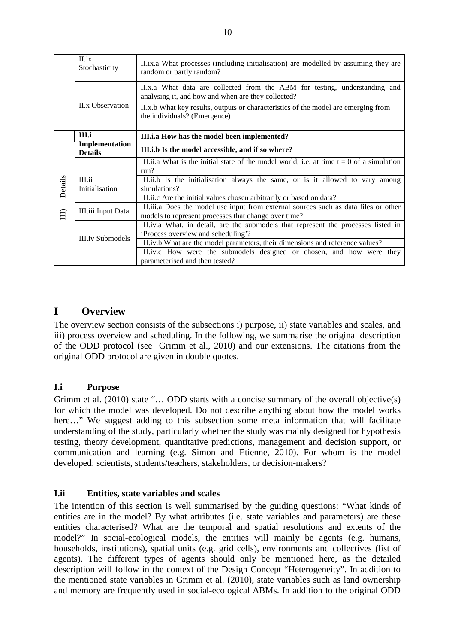| II.1x<br>Stochasticity<br>random or partly random? |                                  | II.ix.a What processes (including initialisation) are modelled by assuming they are                                                          |
|----------------------------------------------------|----------------------------------|----------------------------------------------------------------------------------------------------------------------------------------------|
|                                                    |                                  | II.x.a What data are collected from the ABM for testing, understanding and<br>analysing it, and how and when are they collected?             |
|                                                    | IL <sub>x</sub> Observation      | II.x.b What key results, outputs or characteristics of the model are emerging from<br>the individuals? (Emergence)                           |
|                                                    | III.i                            | III.i.a How has the model been implemented?                                                                                                  |
|                                                    | Implementation<br><b>Details</b> | III.i.b Is the model accessible, and if so where?                                                                                            |
|                                                    |                                  | III.ii.a What is the initial state of the model world, i.e. at time $t = 0$ of a simulation                                                  |
|                                                    |                                  | run?                                                                                                                                         |
| <b>Details</b>                                     | III.ii<br>Initialisation         | III.ii.b Is the initialisation always the same, or is it allowed to vary among<br>simulations?                                               |
|                                                    |                                  | III.ii.c Are the initial values chosen arbitrarily or based on data?                                                                         |
| III.iii Input Data<br>目                            |                                  | III.iii.a Does the model use input from external sources such as data files or other<br>models to represent processes that change over time? |
|                                                    | <b>III.iv Submodels</b>          | III.iv.a What, in detail, are the submodels that represent the processes listed in<br>'Process overview and scheduling'?                     |
|                                                    |                                  | III.iv.b What are the model parameters, their dimensions and reference values?                                                               |
|                                                    |                                  | III.iv.c How were the submodels designed or chosen, and how were they<br>parameterised and then tested?                                      |

## **I Overview**

The overview section consists of the subsections i) purpose, ii) state variables and scales, and iii) process overview and scheduling. In the following, we summarise the original description of the ODD protocol (see Grimm et al., 2010) and our extensions. The citations from the original ODD protocol are given in double quotes.

## **I.i Purpose**

Grimm et al. (2010) state "... ODD starts with a concise summary of the overall objective(s) for which the model was developed. Do not describe anything about how the model works here…" We suggest adding to this subsection some meta information that will facilitate understanding of the study, particularly whether the study was mainly designed for hypothesis testing, theory development, quantitative predictions, management and decision support, or communication and learning (e.g. Simon and Etienne, 2010). For whom is the model developed: scientists, students/teachers, stakeholders, or decision-makers?

#### **I.ii Entities, state variables and scales**

The intention of this section is well summarised by the guiding questions: "What kinds of entities are in the model? By what attributes (i.e. state variables and parameters) are these entities characterised? What are the temporal and spatial resolutions and extents of the model?" In social-ecological models, the entities will mainly be agents (e.g. humans, households, institutions), spatial units (e.g. grid cells), environments and collectives (list of agents). The different types of agents should only be mentioned here, as the detailed description will follow in the context of the Design Concept "Heterogeneity". In addition to the mentioned state variables in Grimm et al. (2010), state variables such as land ownership and memory are frequently used in social-ecological ABMs. In addition to the original ODD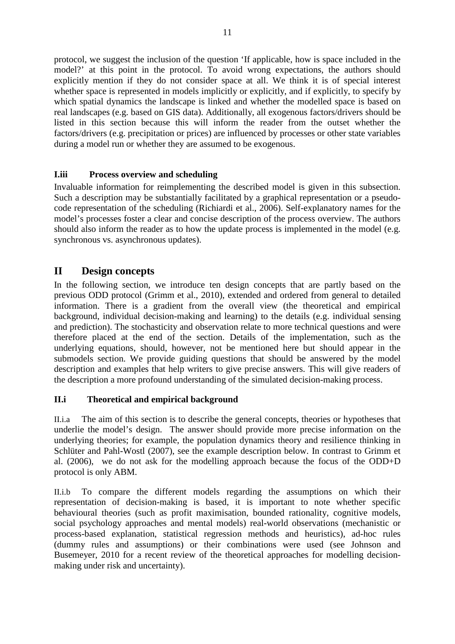protocol, we suggest the inclusion of the question 'If applicable, how is space included in the model?' at this point in the protocol. To avoid wrong expectations, the authors should explicitly mention if they do not consider space at all. We think it is of special interest whether space is represented in models implicitly or explicitly, and if explicitly, to specify by which spatial dynamics the landscape is linked and whether the modelled space is based on real landscapes (e.g. based on GIS data). Additionally, all exogenous factors/drivers should be listed in this section because this will inform the reader from the outset whether the factors/drivers (e.g. precipitation or prices) are influenced by processes or other state variables during a model run or whether they are assumed to be exogenous.

#### **I.iii Process overview and scheduling**

Invaluable information for reimplementing the described model is given in this subsection. Such a description may be substantially facilitated by a graphical representation or a pseudocode representation of the scheduling (Richiardi et al., 2006). Self-explanatory names for the model's processes foster a clear and concise description of the process overview. The authors should also inform the reader as to how the update process is implemented in the model (e.g. synchronous vs. asynchronous updates).

## **II Design concepts**

In the following section, we introduce ten design concepts that are partly based on the previous ODD protocol (Grimm et al., 2010), extended and ordered from general to detailed information. There is a gradient from the overall view (the theoretical and empirical background, individual decision-making and learning) to the details (e.g. individual sensing and prediction). The stochasticity and observation relate to more technical questions and were therefore placed at the end of the section. Details of the implementation, such as the underlying equations, should, however, not be mentioned here but should appear in the submodels section. We provide guiding questions that should be answered by the model description and examples that help writers to give precise answers. This will give readers of the description a more profound understanding of the simulated decision-making process.

#### **II.i Theoretical and empirical background**

II.i.a The aim of this section is to describe the general concepts, theories or hypotheses that underlie the model's design. The answer should provide more precise information on the underlying theories; for example, the population dynamics theory and resilience thinking in Schlüter and Pahl-Wostl (2007), see the example description below. In contrast to Grimm et al. (2006), we do not ask for the modelling approach because the focus of the ODD+D protocol is only ABM.

II.i.b To compare the different models regarding the assumptions on which their representation of decision-making is based, it is important to note whether specific behavioural theories (such as profit maximisation, bounded rationality, cognitive models, social psychology approaches and mental models) real-world observations (mechanistic or process-based explanation, statistical regression methods and heuristics), ad-hoc rules (dummy rules and assumptions) or their combinations were used (see Johnson and Busemeyer, 2010 for a recent review of the theoretical approaches for modelling decisionmaking under risk and uncertainty).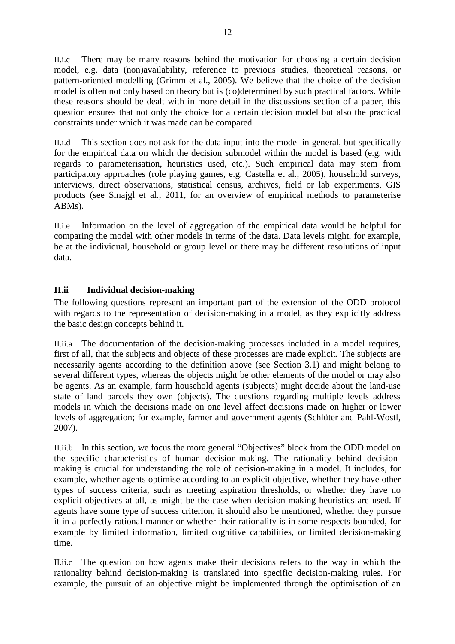II.i.c There may be many reasons behind the motivation for choosing a certain decision model, e.g. data (non)availability, reference to previous studies, theoretical reasons, or pattern-oriented modelling (Grimm et al., 2005). We believe that the choice of the decision model is often not only based on theory but is (co)determined by such practical factors. While these reasons should be dealt with in more detail in the discussions section of a paper, this question ensures that not only the choice for a certain decision model but also the practical constraints under which it was made can be compared.

II.i.d This section does not ask for the data input into the model in general, but specifically for the empirical data on which the decision submodel within the model is based (e.g. with regards to parameterisation, heuristics used, etc.). Such empirical data may stem from participatory approaches (role playing games, e.g. Castella et al., 2005), household surveys, interviews, direct observations, statistical census, archives, field or lab experiments, GIS products (see Smajgl et al., 2011, for an overview of empirical methods to parameterise ABMs).

II.i.e Information on the level of aggregation of the empirical data would be helpful for comparing the model with other models in terms of the data. Data levels might, for example, be at the individual, household or group level or there may be different resolutions of input data.

### **II.ii Individual decision-making**

The following questions represent an important part of the extension of the ODD protocol with regards to the representation of decision-making in a model, as they explicitly address the basic design concepts behind it.

II.ii.a The documentation of the decision-making processes included in a model requires, first of all, that the subjects and objects of these processes are made explicit. The subjects are necessarily agents according to the definition above (see Section [3.1\)](#page-4-0) and might belong to several different types, whereas the objects might be other elements of the model or may also be agents. As an example, farm household agents (subjects) might decide about the land-use state of land parcels they own (objects). The questions regarding multiple levels address models in which the decisions made on one level affect decisions made on higher or lower levels of aggregation; for example, farmer and government agents (Schlüter and Pahl-Wostl, 2007).

II.ii.b In this section, we focus the more general "Objectives" block from the ODD model on the specific characteristics of human decision-making. The rationality behind decisionmaking is crucial for understanding the role of decision-making in a model. It includes, for example, whether agents optimise according to an explicit objective, whether they have other types of success criteria, such as meeting aspiration thresholds, or whether they have no explicit objectives at all, as might be the case when decision-making heuristics are used. If agents have some type of success criterion, it should also be mentioned, whether they pursue it in a perfectly rational manner or whether their rationality is in some respects bounded, for example by limited information, limited cognitive capabilities, or limited decision-making time.

II.ii.c The question on how agents make their decisions refers to the way in which the rationality behind decision-making is translated into specific decision-making rules. For example, the pursuit of an objective might be implemented through the optimisation of an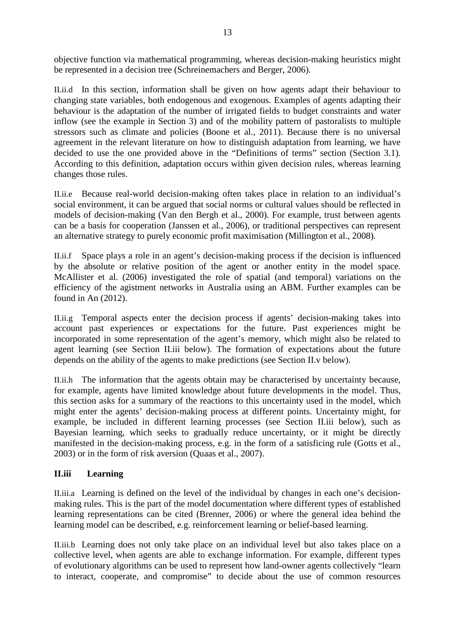objective function via mathematical programming, whereas decision-making heuristics might be represented in a decision tree (Schreinemachers and Berger, 2006).

II.ii.d In this section, information shall be given on how agents adapt their behaviour to changing state variables, both endogenous and exogenous. Examples of agents adapting their behaviour is the adaptation of the number of irrigated fields to budget constraints and water inflow (see the example in Section 3) and of the mobility pattern of pastoralists to multiple stressors such as climate and policies (Boone et al., 2011). Because there is no universal agreement in the relevant literature on how to distinguish adaptation from learning, we have decided to use the one provided above in the "Definitions of terms" section (Section 3.1). According to this definition, adaptation occurs within given decision rules, whereas learning changes those rules.

II.ii.e Because real-world decision-making often takes place in relation to an individual's social environment, it can be argued that social norms or cultural values should be reflected in models of decision-making (Van den Bergh et al., 2000). For example, trust between agents can be a basis for cooperation (Janssen et al., 2006), or traditional perspectives can represent an alternative strategy to purely economic profit maximisation (Millington et al., 2008)*.*

II.ii.f Space plays a role in an agent's decision-making process if the decision is influenced by the absolute or relative position of the agent or another entity in the model space. McAllister et al. (2006) investigated the role of spatial (and temporal) variations on the efficiency of the agistment networks in Australia using an ABM. Further examples can be found in An (2012).

II.ii.g Temporal aspects enter the decision process if agents' decision-making takes into account past experiences or expectations for the future. Past experiences might be incorporated in some representation of the agent's memory, which might also be related to agent learning (see Section [II.iii](#page-12-0) below). The formation of expectations about the future depends on the ability of the agents to make predictions (see Section [II.v](#page-13-0) below).

II.ii.h The information that the agents obtain may be characterised by uncertainty because, for example, agents have limited knowledge about future developments in the model. Thus, this section asks for a summary of the reactions to this uncertainty used in the model, which might enter the agents' decision-making process at different points. Uncertainty might, for example, be included in different learning processes (see Section [II.iii](#page-12-0) below), such as Bayesian learning, which seeks to gradually reduce uncertainty, or it might be directly manifested in the decision-making process, e.g. in the form of a satisficing rule (Gotts et al., 2003) or in the form of risk aversion (Quaas et al., 2007).

#### <span id="page-12-0"></span>**II.iii Learning**

II.iii.a Learning is defined on the level of the individual by changes in each one's decisionmaking rules. This is the part of the model documentation where different types of established learning representations can be cited (Brenner, 2006) or where the general idea behind the learning model can be described, e.g. reinforcement learning or belief-based learning.

II.iii.b Learning does not only take place on an individual level but also takes place on a collective level, when agents are able to exchange information. For example, different types of evolutionary algorithms can be used to represent how land-owner agents collectively "learn to interact, cooperate, and compromise" to decide about the use of common resources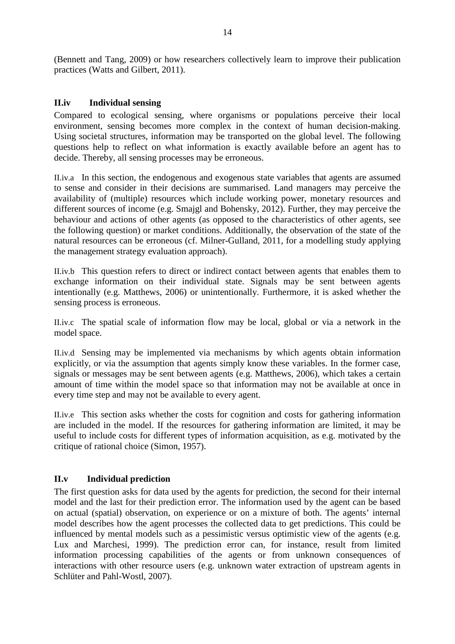(Bennett and Tang, 2009) or how researchers collectively learn to improve their publication practices (Watts and Gilbert, 2011).

#### **II.iv Individual sensing**

Compared to ecological sensing, where organisms or populations perceive their local environment, sensing becomes more complex in the context of human decision-making. Using societal structures, information may be transported on the global level. The following questions help to reflect on what information is exactly available before an agent has to decide. Thereby, all sensing processes may be erroneous.

II.iv.a In this section, the endogenous and exogenous state variables that agents are assumed to sense and consider in their decisions are summarised. Land managers may perceive the availability of (multiple) resources which include working power, monetary resources and different sources of income (e.g. Smajgl and Bohensky, 2012). Further, they may perceive the behaviour and actions of other agents (as opposed to the characteristics of other agents, see the following question) or market conditions. Additionally, the observation of the state of the natural resources can be erroneous (cf. Milner-Gulland, 2011, for a modelling study applying the management strategy evaluation approach).

II.iv.b This question refers to direct or indirect contact between agents that enables them to exchange information on their individual state. Signals may be sent between agents intentionally (e.g. Matthews, 2006) or unintentionally. Furthermore, it is asked whether the sensing process is erroneous.

II.iv.c The spatial scale of information flow may be local, global or via a network in the model space.

II.iv.d Sensing may be implemented via mechanisms by which agents obtain information explicitly, or via the assumption that agents simply know these variables. In the former case, signals or messages may be sent between agents (e.g. Matthews, 2006), which takes a certain amount of time within the model space so that information may not be available at once in every time step and may not be available to every agent.

II.iv.e This section asks whether the costs for cognition and costs for gathering information are included in the model. If the resources for gathering information are limited, it may be useful to include costs for different types of information acquisition, as e.g. motivated by the critique of rational choice (Simon, 1957).

#### <span id="page-13-0"></span>**II.v Individual prediction**

The first question asks for data used by the agents for prediction, the second for their internal model and the last for their prediction error. The information used by the agent can be based on actual (spatial) observation, on experience or on a mixture of both. The agents' internal model describes how the agent processes the collected data to get predictions. This could be influenced by mental models such as a pessimistic versus optimistic view of the agents (e.g. Lux and Marchesi, 1999). The prediction error can, for instance, result from limited information processing capabilities of the agents or from unknown consequences of interactions with other resource users (e.g. unknown water extraction of upstream agents in Schlüter and Pahl-Wostl, 2007).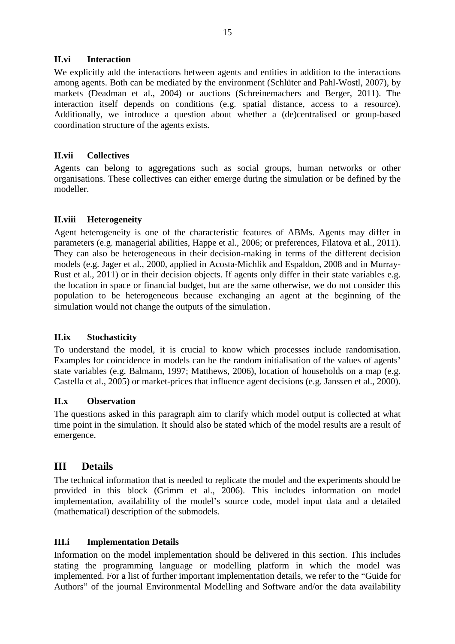#### **II.vi Interaction**

We explicitly add the interactions between agents and entities in addition to the interactions among agents. Both can be mediated by the environment (Schlüter and Pahl-Wostl, 2007), by markets (Deadman et al., 2004) or auctions (Schreinemachers and Berger, 2011). The interaction itself depends on conditions (e.g. spatial distance, access to a resource). Additionally, we introduce a question about whether a (de)centralised or group-based coordination structure of the agents exists.

#### **II.vii Collectives**

Agents can belong to aggregations such as social groups, human networks or other organisations. These collectives can either emerge during the simulation or be defined by the modeller.

#### **II.viii Heterogeneity**

Agent heterogeneity is one of the characteristic features of ABMs. Agents may differ in parameters (e.g. managerial abilities, Happe et al., 2006; or preferences, Filatova et al., 2011). They can also be heterogeneous in their decision-making in terms of the different decision models (e.g. Jager et al., 2000, applied in Acosta-Michlik and Espaldon, 2008 and in Murray-Rust et al., 2011) or in their decision objects. If agents only differ in their state variables e.g. the location in space or financial budget, but are the same otherwise, we do not consider this population to be heterogeneous because exchanging an agent at the beginning of the simulation would not change the outputs of the simulation.

#### **II.ix Stochasticity**

To understand the model, it is crucial to know which processes include randomisation. Examples for coincidence in models can be the random initialisation of the values of agents' state variables (e.g. Balmann, 1997; Matthews, 2006), location of households on a map (e.g. Castella et al., 2005) or market-prices that influence agent decisions (e.g. Janssen et al., 2000).

#### **II.x Observation**

The questions asked in this paragraph aim to clarify which model output is collected at what time point in the simulation. It should also be stated which of the model results are a result of emergence.

## **III Details**

The technical information that is needed to replicate the model and the experiments should be provided in this block (Grimm et al., 2006). This includes information on model implementation, availability of the model's source code, model input data and a detailed (mathematical) description of the submodels.

#### **III.i Implementation Details**

Information on the model implementation should be delivered in this section. This includes stating the programming language or modelling platform in which the model was implemented. For a list of further important implementation details, we refer to the "Guide for Authors" of the journal Environmental Modelling and Software and/or the data availability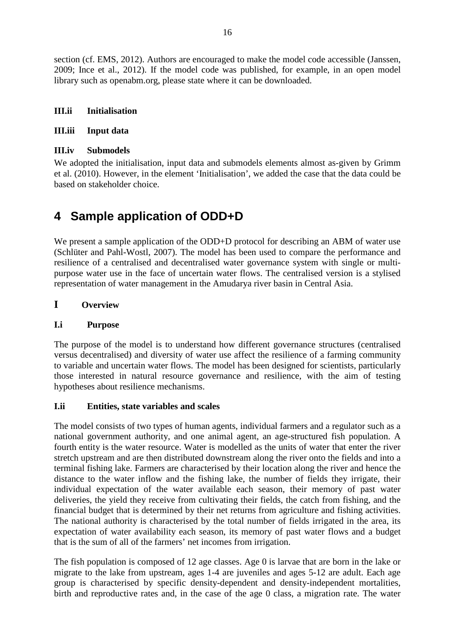section (cf. EMS, 2012). Authors are encouraged to make the model code accessible (Janssen, 2009; Ince et al., 2012). If the model code was published, for example, in an open model library such as openabm.org, please state where it can be downloaded.

#### **III.ii Initialisation**

#### **III.iii Input data**

#### **III.iv Submodels**

We adopted the initialisation, input data and submodels elements almost as-given by Grimm et al. (2010). However, in the element 'Initialisation', we added the case that the data could be based on stakeholder choice.

# <span id="page-15-0"></span>**4 Sample application of ODD+D**

We present a sample application of the ODD+D protocol for describing an ABM of water use (Schlüter and Pahl-Wostl, 2007). The model has been used to compare the performance and resilience of a centralised and decentralised water governance system with single or multipurpose water use in the face of uncertain water flows. The centralised version is a stylised representation of water management in the Amudarya river basin in Central Asia.

#### **I Overview**

#### **I.i Purpose**

The purpose of the model is to understand how different governance structures (centralised versus decentralised) and diversity of water use affect the resilience of a farming community to variable and uncertain water flows. The model has been designed for scientists, particularly those interested in natural resource governance and resilience, with the aim of testing hypotheses about resilience mechanisms.

#### **I.ii Entities, state variables and scales**

The model consists of two types of human agents, individual farmers and a regulator such as a national government authority, and one animal agent, an age-structured fish population. A fourth entity is the water resource. Water is modelled as the units of water that enter the river stretch upstream and are then distributed downstream along the river onto the fields and into a terminal fishing lake. Farmers are characterised by their location along the river and hence the distance to the water inflow and the fishing lake, the number of fields they irrigate, their individual expectation of the water available each season, their memory of past water deliveries, the yield they receive from cultivating their fields, the catch from fishing, and the financial budget that is determined by their net returns from agriculture and fishing activities. The national authority is characterised by the total number of fields irrigated in the area, its expectation of water availability each season, its memory of past water flows and a budget that is the sum of all of the farmers' net incomes from irrigation.

The fish population is composed of 12 age classes. Age 0 is larvae that are born in the lake or migrate to the lake from upstream, ages 1-4 are juveniles and ages 5-12 are adult. Each age group is characterised by specific density-dependent and density-independent mortalities, birth and reproductive rates and, in the case of the age 0 class, a migration rate. The water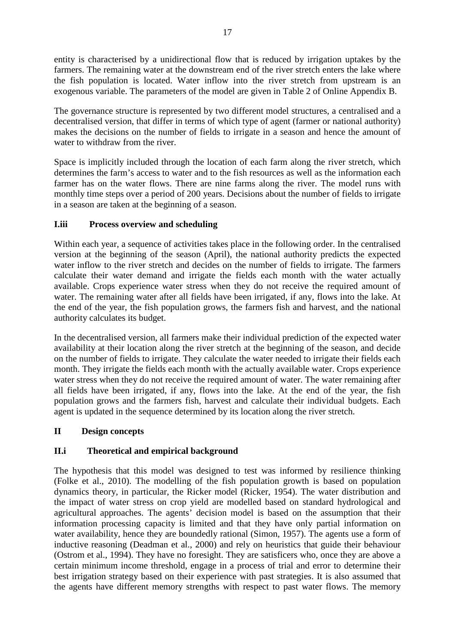entity is characterised by a unidirectional flow that is reduced by irrigation uptakes by the farmers. The remaining water at the downstream end of the river stretch enters the lake where the fish population is located. Water inflow into the river stretch from upstream is an exogenous variable. The parameters of the model are given in Table 2 of Online Appendix B.

The governance structure is represented by two different model structures, a centralised and a decentralised version, that differ in terms of which type of agent (farmer or national authority) makes the decisions on the number of fields to irrigate in a season and hence the amount of water to withdraw from the river

Space is implicitly included through the location of each farm along the river stretch, which determines the farm's access to water and to the fish resources as well as the information each farmer has on the water flows. There are nine farms along the river. The model runs with monthly time steps over a period of 200 years. Decisions about the number of fields to irrigate in a season are taken at the beginning of a season.

### **I.iii Process overview and scheduling**

Within each year, a sequence of activities takes place in the following order. In the centralised version at the beginning of the season (April), the national authority predicts the expected water inflow to the river stretch and decides on the number of fields to irrigate. The farmers calculate their water demand and irrigate the fields each month with the water actually available. Crops experience water stress when they do not receive the required amount of water. The remaining water after all fields have been irrigated, if any, flows into the lake. At the end of the year, the fish population grows, the farmers fish and harvest, and the national authority calculates its budget.

In the decentralised version, all farmers make their individual prediction of the expected water availability at their location along the river stretch at the beginning of the season, and decide on the number of fields to irrigate. They calculate the water needed to irrigate their fields each month. They irrigate the fields each month with the actually available water. Crops experience water stress when they do not receive the required amount of water. The water remaining after all fields have been irrigated, if any, flows into the lake. At the end of the year, the fish population grows and the farmers fish, harvest and calculate their individual budgets. Each agent is updated in the sequence determined by its location along the river stretch.

## **II Design concepts**

## **II.i Theoretical and empirical background**

The hypothesis that this model was designed to test was informed by resilience thinking (Folke et al., 2010). The modelling of the fish population growth is based on population dynamics theory, in particular, the Ricker model (Ricker, 1954). The water distribution and the impact of water stress on crop yield are modelled based on standard hydrological and agricultural approaches. The agents' decision model is based on the assumption that their information processing capacity is limited and that they have only partial information on water availability, hence they are boundedly rational (Simon, 1957). The agents use a form of inductive reasoning (Deadman et al., 2000) and rely on heuristics that guide their behaviour (Ostrom et al., 1994). They have no foresight. They are satisficers who, once they are above a certain minimum income threshold, engage in a process of trial and error to determine their best irrigation strategy based on their experience with past strategies. It is also assumed that the agents have different memory strengths with respect to past water flows. The memory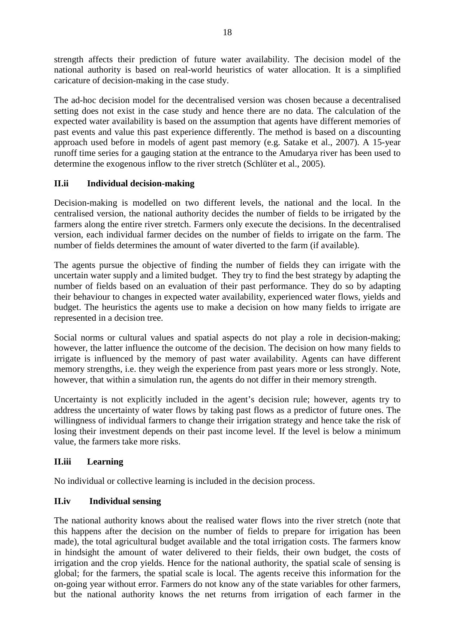strength affects their prediction of future water availability. The decision model of the national authority is based on real-world heuristics of water allocation. It is a simplified caricature of decision-making in the case study.

The ad-hoc decision model for the decentralised version was chosen because a decentralised setting does not exist in the case study and hence there are no data. The calculation of the expected water availability is based on the assumption that agents have different memories of past events and value this past experience differently. The method is based on a discounting approach used before in models of agent past memory (e.g. Satake et al., 2007). A 15-year runoff time series for a gauging station at the entrance to the Amudarya river has been used to determine the exogenous inflow to the river stretch (Schlüter et al., 2005).

#### **II.ii Individual decision-making**

Decision-making is modelled on two different levels, the national and the local. In the centralised version, the national authority decides the number of fields to be irrigated by the farmers along the entire river stretch. Farmers only execute the decisions. In the decentralised version, each individual farmer decides on the number of fields to irrigate on the farm. The number of fields determines the amount of water diverted to the farm (if available).

The agents pursue the objective of finding the number of fields they can irrigate with the uncertain water supply and a limited budget. They try to find the best strategy by adapting the number of fields based on an evaluation of their past performance. They do so by adapting their behaviour to changes in expected water availability, experienced water flows, yields and budget. The heuristics the agents use to make a decision on how many fields to irrigate are represented in a decision tree.

Social norms or cultural values and spatial aspects do not play a role in decision-making; however, the latter influence the outcome of the decision. The decision on how many fields to irrigate is influenced by the memory of past water availability. Agents can have different memory strengths, i.e. they weigh the experience from past years more or less strongly. Note, however, that within a simulation run, the agents do not differ in their memory strength.

Uncertainty is not explicitly included in the agent's decision rule; however, agents try to address the uncertainty of water flows by taking past flows as a predictor of future ones. The willingness of individual farmers to change their irrigation strategy and hence take the risk of losing their investment depends on their past income level. If the level is below a minimum value, the farmers take more risks.

#### **II.iii Learning**

No individual or collective learning is included in the decision process.

#### **II.iv Individual sensing**

The national authority knows about the realised water flows into the river stretch (note that this happens after the decision on the number of fields to prepare for irrigation has been made), the total agricultural budget available and the total irrigation costs. The farmers know in hindsight the amount of water delivered to their fields, their own budget, the costs of irrigation and the crop yields. Hence for the national authority, the spatial scale of sensing is global; for the farmers, the spatial scale is local. The agents receive this information for the on-going year without error. Farmers do not know any of the state variables for other farmers, but the national authority knows the net returns from irrigation of each farmer in the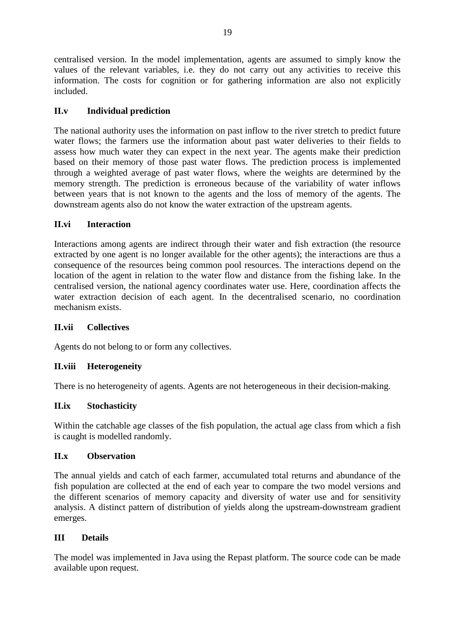centralised version. In the model implementation, agents are assumed to simply know the values of the relevant variables, i.e. they do not carry out any activities to receive this information. The costs for cognition or for gathering information are also not explicitly included.

### **II.v Individual prediction**

The national authority uses the information on past inflow to the river stretch to predict future water flows; the farmers use the information about past water deliveries to their fields to assess how much water they can expect in the next year. The agents make their prediction based on their memory of those past water flows. The prediction process is implemented through a weighted average of past water flows, where the weights are determined by the memory strength. The prediction is erroneous because of the variability of water inflows between years that is not known to the agents and the loss of memory of the agents. The downstream agents also do not know the water extraction of the upstream agents.

### **II.vi Interaction**

Interactions among agents are indirect through their water and fish extraction (the resource extracted by one agent is no longer available for the other agents); the interactions are thus a consequence of the resources being common pool resources. The interactions depend on the location of the agent in relation to the water flow and distance from the fishing lake. In the centralised version, the national agency coordinates water use. Here, coordination affects the water extraction decision of each agent. In the decentralised scenario, no coordination mechanism exists.

## **II.vii Collectives**

Agents do not belong to or form any collectives.

#### **II.viii Heterogeneity**

There is no heterogeneity of agents. Agents are not heterogeneous in their decision-making.

#### **II.ix Stochasticity**

Within the catchable age classes of the fish population, the actual age class from which a fish is caught is modelled randomly.

#### **II.x Observation**

The annual yields and catch of each farmer, accumulated total returns and abundance of the fish population are collected at the end of each year to compare the two model versions and the different scenarios of memory capacity and diversity of water use and for sensitivity analysis. A distinct pattern of distribution of yields along the upstream-downstream gradient emerges.

#### **III Details**

The model was implemented in Java using the Repast platform. The source code can be made available upon request.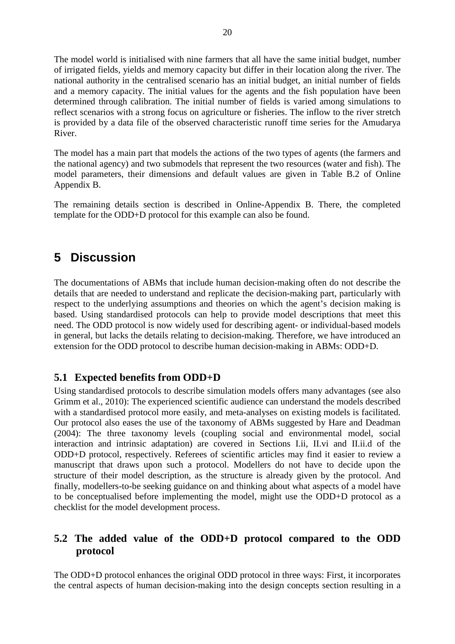The model world is initialised with nine farmers that all have the same initial budget, number of irrigated fields, yields and memory capacity but differ in their location along the river. The national authority in the centralised scenario has an initial budget, an initial number of fields and a memory capacity. The initial values for the agents and the fish population have been determined through calibration. The initial number of fields is varied among simulations to reflect scenarios with a strong focus on agriculture or fisheries. The inflow to the river stretch is provided by a data file of the observed characteristic runoff time series for the Amudarya River.

The model has a main part that models the actions of the two types of agents (the farmers and the national agency) and two submodels that represent the two resources (water and fish). The model parameters, their dimensions and default values are given in Table B.2 of Online Appendix B.

The remaining details section is described in Online-Appendix B. There, the completed template for the ODD+D protocol for this example can also be found.

# **5 Discussion**

The documentations of ABMs that include human decision-making often do not describe the details that are needed to understand and replicate the decision-making part, particularly with respect to the underlying assumptions and theories on which the agent's decision making is based. Using standardised protocols can help to provide model descriptions that meet this need. The ODD protocol is now widely used for describing agent- or individual-based models in general, but lacks the details relating to decision-making. Therefore, we have introduced an extension for the ODD protocol to describe human decision-making in ABMs: ODD+D.

## **5.1 Expected benefits from ODD+D**

Using standardised protocols to describe simulation models offers many advantages (see also Grimm et al., 2010): The experienced scientific audience can understand the models described with a standardised protocol more easily, and meta-analyses on existing models is facilitated. Our protocol also eases the use of the taxonomy of ABMs suggested by Hare and Deadman (2004): The three taxonomy levels (coupling social and environmental model, social interaction and intrinsic adaptation) are covered in Sections I.ii, II.vi and II.ii.d of the ODD+D protocol, respectively. Referees of scientific articles may find it easier to review a manuscript that draws upon such a protocol. Modellers do not have to decide upon the structure of their model description, as the structure is already given by the protocol. And finally, modellers-to-be seeking guidance on and thinking about what aspects of a model have to be conceptualised before implementing the model, might use the ODD+D protocol as a checklist for the model development process.

## **5.2 The added value of the ODD+D protocol compared to the ODD protocol**

The ODD+D protocol enhances the original ODD protocol in three ways: First, it incorporates the central aspects of human decision-making into the design concepts section resulting in a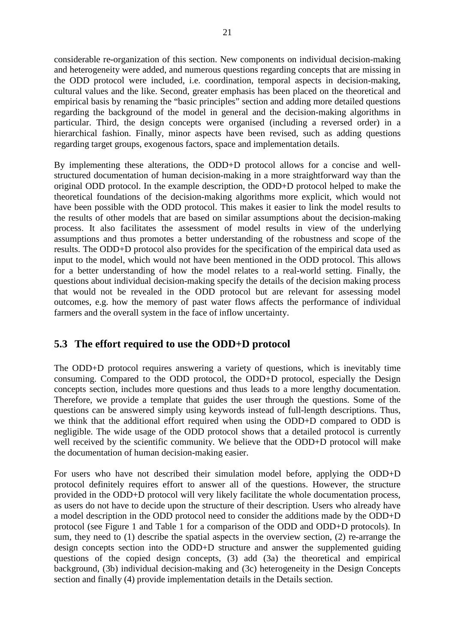considerable re-organization of this section. New components on individual decision-making and heterogeneity were added, and numerous questions regarding concepts that are missing in the ODD protocol were included, i.e. coordination, temporal aspects in decision-making, cultural values and the like. Second, greater emphasis has been placed on the theoretical and empirical basis by renaming the "basic principles" section and adding more detailed questions regarding the background of the model in general and the decision-making algorithms in particular. Third, the design concepts were organised (including a reversed order) in a hierarchical fashion. Finally, minor aspects have been revised, such as adding questions regarding target groups, exogenous factors, space and implementation details.

By implementing these alterations, the ODD+D protocol allows for a concise and wellstructured documentation of human decision-making in a more straightforward way than the original ODD protocol. In the example description, the ODD+D protocol helped to make the theoretical foundations of the decision-making algorithms more explicit, which would not have been possible with the ODD protocol. This makes it easier to link the model results to the results of other models that are based on similar assumptions about the decision-making process. It also facilitates the assessment of model results in view of the underlying assumptions and thus promotes a better understanding of the robustness and scope of the results. The ODD+D protocol also provides for the specification of the empirical data used as input to the model, which would not have been mentioned in the ODD protocol. This allows for a better understanding of how the model relates to a real-world setting. Finally, the questions about individual decision-making specify the details of the decision making process that would not be revealed in the ODD protocol but are relevant for assessing model outcomes, e.g. how the memory of past water flows affects the performance of individual farmers and the overall system in the face of inflow uncertainty.

## **5.3 The effort required to use the ODD+D protocol**

The ODD+D protocol requires answering a variety of questions, which is inevitably time consuming. Compared to the ODD protocol, the ODD+D protocol, especially the Design concepts section, includes more questions and thus leads to a more lengthy documentation. Therefore, we provide a template that guides the user through the questions. Some of the questions can be answered simply using keywords instead of full-length descriptions. Thus, we think that the additional effort required when using the ODD+D compared to ODD is negligible. The wide usage of the ODD protocol shows that a detailed protocol is currently well received by the scientific community. We believe that the ODD+D protocol will make the documentation of human decision-making easier.

For users who have not described their simulation model before, applying the ODD+D protocol definitely requires effort to answer all of the questions. However, the structure provided in the ODD+D protocol will very likely facilitate the whole documentation process, as users do not have to decide upon the structure of their description. Users who already have a model description in the ODD protocol need to consider the additions made by the ODD+D protocol (see Figure 1 and Table 1 for a comparison of the ODD and ODD+D protocols). In sum, they need to (1) describe the spatial aspects in the overview section, (2) re-arrange the design concepts section into the ODD+D structure and answer the supplemented guiding questions of the copied design concepts, (3) add (3a) the theoretical and empirical background, (3b) individual decision-making and (3c) heterogeneity in the Design Concepts section and finally (4) provide implementation details in the Details section.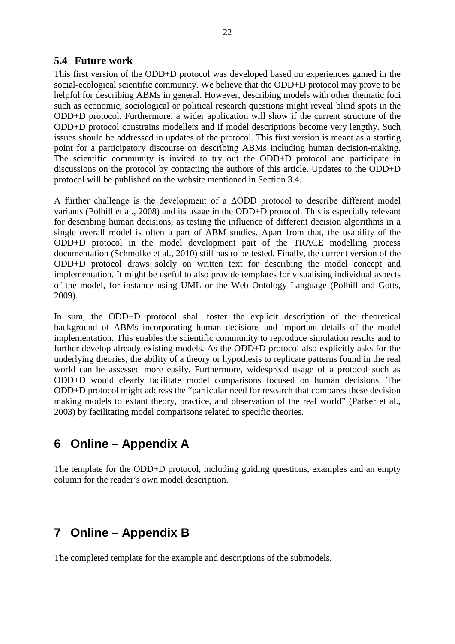## **5.4 Future work**

This first version of the ODD+D protocol was developed based on experiences gained in the social-ecological scientific community. We believe that the ODD+D protocol may prove to be helpful for describing ABMs in general. However, describing models with other thematic foci such as economic, sociological or political research questions might reveal blind spots in the ODD+D protocol. Furthermore, a wider application will show if the current structure of the ODD+D protocol constrains modellers and if model descriptions become very lengthy. Such issues should be addressed in updates of the protocol. This first version is meant as a starting point for a participatory discourse on describing ABMs including human decision-making. The scientific community is invited to try out the ODD+D protocol and participate in discussions on the protocol by contacting the authors of this article. Updates to the ODD+D protocol will be published on the website mentioned in Section 3.4.

A further challenge is the development of a ΔODD protocol to describe different model variants (Polhill et al., 2008) and its usage in the ODD+D protocol. This is especially relevant for describing human decisions, as testing the influence of different decision algorithms in a single overall model is often a part of ABM studies. Apart from that, the usability of the ODD+D protocol in the model development part of the TRACE modelling process documentation (Schmolke et al., 2010) still has to be tested. Finally, the current version of the ODD+D protocol draws solely on written text for describing the model concept and implementation. It might be useful to also provide templates for visualising individual aspects of the model, for instance using UML or the Web Ontology Language (Polhill and Gotts, 2009).

In sum, the ODD+D protocol shall foster the explicit description of the theoretical background of ABMs incorporating human decisions and important details of the model implementation. This enables the scientific community to reproduce simulation results and to further develop already existing models. As the ODD+D protocol also explicitly asks for the underlying theories, the ability of a theory or hypothesis to replicate patterns found in the real world can be assessed more easily. Furthermore, widespread usage of a protocol such as ODD+D would clearly facilitate model comparisons focused on human decisions. The ODD+D protocol might address the "particular need for research that compares these decision making models to extant theory, practice, and observation of the real world" (Parker et al., 2003) by facilitating model comparisons related to specific theories.

# **6 Online – Appendix A**

The template for the ODD+D protocol, including guiding questions, examples and an empty column for the reader's own model description.

# **7 Online – Appendix B**

The completed template for the example and descriptions of the submodels.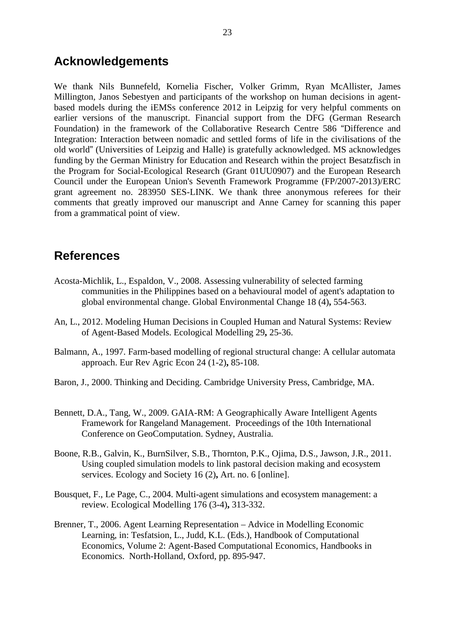## **Acknowledgements**

We thank Nils Bunnefeld, Kornelia Fischer, Volker Grimm, Ryan McAllister, James Millington, Janos Sebestyen and participants of the workshop on human decisions in agentbased models during the iEMSs conference 2012 in Leipzig for very helpful comments on earlier versions of the manuscript. Financial support from the DFG (German Research Foundation) in the framework of the Collaborative Research Centre 586 "Difference and Integration: Interaction between nomadic and settled forms of life in the civilisations of the old world" (Universities of Leipzig and Halle) is gratefully acknowledged. MS acknowledges funding by the German Ministry for Education and Research within the project Besatzfisch in the Program for Social-Ecological Research (Grant 01UU0907) and the European Research Council under the European Union's Seventh Framework Programme (FP/2007-2013)/ERC grant agreement no. 283950 SES-LINK. We thank three anonymous referees for their comments that greatly improved our manuscript and Anne Carney for scanning this paper from a grammatical point of view.

## **References**

- Acosta-Michlik, L., Espaldon, V., 2008. Assessing vulnerability of selected farming communities in the Philippines based on a behavioural model of agent's adaptation to global environmental change. Global Environmental Change 18 (4)**,** 554-563.
- An, L., 2012. Modeling Human Decisions in Coupled Human and Natural Systems: Review of Agent-Based Models. Ecological Modelling 29**,** 25-36.
- Balmann, A., 1997. Farm-based modelling of regional structural change: A cellular automata approach. Eur Rev Agric Econ 24 (1-2)**,** 85-108.
- Baron, J., 2000. Thinking and Deciding. Cambridge University Press, Cambridge, MA.
- Bennett, D.A., Tang, W., 2009. GAIA-RM: A Geographically Aware Intelligent Agents Framework for Rangeland Management. Proceedings of the 10th International Conference on GeoComputation. Sydney, Australia.
- Boone, R.B., Galvin, K., BurnSilver, S.B., Thornton, P.K., Ojima, D.S., Jawson, J.R., 2011. Using coupled simulation models to link pastoral decision making and ecosystem services. Ecology and Society 16 (2)**,** Art. no. 6 [online].
- Bousquet, F., Le Page, C., 2004. Multi-agent simulations and ecosystem management: a review. Ecological Modelling 176 (3-4)**,** 313-332.
- Brenner, T., 2006. Agent Learning Representation Advice in Modelling Economic Learning, in: Tesfatsion, L., Judd, K.L. (Eds.), Handbook of Computational Economics, Volume 2: Agent-Based Computational Economics, Handbooks in Economics. North-Holland, Oxford, pp. 895-947.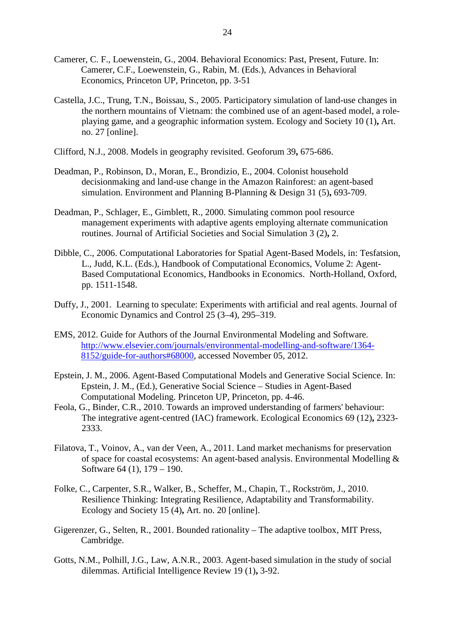- Camerer, C. F., Loewenstein, G., 2004. Behavioral Economics: Past, Present, Future. In: Camerer, C.F., Loewenstein, G., Rabin, M. (Eds.), Advances in Behavioral Economics, Princeton UP, Princeton, pp. 3-51
- Castella, J.C., Trung, T.N., Boissau, S., 2005. Participatory simulation of land-use changes in the northern mountains of Vietnam: the combined use of an agent-based model, a roleplaying game, and a geographic information system. Ecology and Society 10 (1)**,** Art. no. 27 [online].
- Clifford, N.J., 2008. Models in geography revisited. Geoforum 39**,** 675-686.
- Deadman, P., Robinson, D., Moran, E., Brondizio, E., 2004. Colonist household decisionmaking and land-use change in the Amazon Rainforest: an agent-based simulation. Environment and Planning B-Planning & Design 31 (5)**,** 693-709.
- Deadman, P., Schlager, E., Gimblett, R., 2000. Simulating common pool resource management experiments with adaptive agents employing alternate communication routines. Journal of Artificial Societies and Social Simulation 3 (2)**,** 2.
- Dibble, C., 2006. Computational Laboratories for Spatial Agent-Based Models, in: Tesfatsion, L., Judd, K.L. (Eds.), Handbook of Computational Economics, Volume 2: Agent-Based Computational Economics, Handbooks in Economics. North-Holland, Oxford, pp. 1511-1548.
- Duffy, J., 2001. Learning to speculate: Experiments with artificial and real agents. Journal of Economic Dynamics and Control 25 (3–4), 295–319.
- EMS, 2012. Guide for Authors of the Journal Environmental Modeling and Software. [http://www.elsevier.com/journals/environmental-modelling-and-software/1364-](http://www.elsevier.com/journals/environmental-modelling-and-software/1364-8152/guide-for-authors#68000) [8152/guide-for-authors#68000,](http://www.elsevier.com/journals/environmental-modelling-and-software/1364-8152/guide-for-authors#68000) accessed November 05, 2012.
- Epstein, J. M., 2006. Agent-Based Computational Models and Generative Social Science. In: Epstein, J. M., (Ed.), Generative Social Science – Studies in Agent-Based Computational Modeling. Princeton UP, Princeton, pp. 4-46.
- Feola, G., Binder, C.R., 2010. Towards an improved understanding of farmers' behaviour: The integrative agent-centred (IAC) framework. Ecological Economics 69 (12)**,** 2323- 2333.
- Filatova, T., Voinov, A., van der Veen, A., 2011. Land market mechanisms for preservation of space for coastal ecosystems: An agent-based analysis. Environmental Modelling & Software 64 (1), 179 – 190.
- Folke, C., Carpenter, S.R., Walker, B., Scheffer, M., Chapin, T., Rockström, J., 2010. Resilience Thinking: Integrating Resilience, Adaptability and Transformability. Ecology and Society 15 (4)**,** Art. no. 20 [online].
- Gigerenzer, G., Selten, R., 2001. Bounded rationality The adaptive toolbox, MIT Press, Cambridge.
- Gotts, N.M., Polhill, J.G., Law, A.N.R., 2003. Agent-based simulation in the study of social dilemmas. Artificial Intelligence Review 19 (1)**,** 3-92.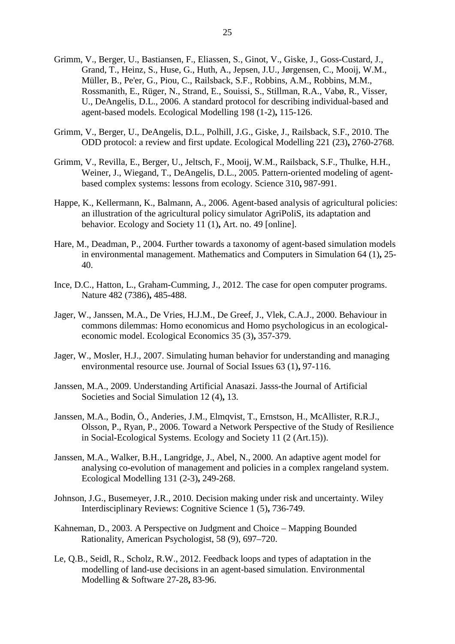- Grimm, V., Berger, U., Bastiansen, F., Eliassen, S., Ginot, V., Giske, J., Goss-Custard, J., Grand, T., Heinz, S., Huse, G., Huth, A., Jepsen, J.U., Jørgensen, C., Mooij, W.M., Müller, B., Pe'er, G., Piou, C., Railsback, S.F., Robbins, A.M., Robbins, M.M., Rossmanith, E., Rüger, N., Strand, E., Souissi, S., Stillman, R.A., Vabø, R., Visser, U., DeAngelis, D.L., 2006. A standard protocol for describing individual-based and agent-based models. Ecological Modelling 198 (1-2)**,** 115-126.
- Grimm, V., Berger, U., DeAngelis, D.L., Polhill, J.G., Giske, J., Railsback, S.F., 2010. The ODD protocol: a review and first update. Ecological Modelling 221 (23)**,** 2760-2768.
- Grimm, V., Revilla, E., Berger, U., Jeltsch, F., Mooij, W.M., Railsback, S.F., Thulke, H.H., Weiner, J., Wiegand, T., DeAngelis, D.L., 2005. Pattern-oriented modeling of agentbased complex systems: lessons from ecology. Science 310**,** 987-991.
- Happe, K., Kellermann, K., Balmann, A., 2006. Agent-based analysis of agricultural policies: an illustration of the agricultural policy simulator AgriPoliS, its adaptation and behavior. Ecology and Society 11 (1)**,** Art. no. 49 [online].
- Hare, M., Deadman, P., 2004. Further towards a taxonomy of agent-based simulation models in environmental management. Mathematics and Computers in Simulation 64 (1)**,** 25- 40.
- Ince, D.C., Hatton, L., Graham-Cumming, J., 2012. The case for open computer programs. Nature 482 (7386)**,** 485-488.
- Jager, W., Janssen, M.A., De Vries, H.J.M., De Greef, J., Vlek, C.A.J., 2000. Behaviour in commons dilemmas: Homo economicus and Homo psychologicus in an ecologicaleconomic model. Ecological Economics 35 (3)**,** 357-379.
- Jager, W., Mosler, H.J., 2007. Simulating human behavior for understanding and managing environmental resource use. Journal of Social Issues 63 (1)**,** 97-116.
- Janssen, M.A., 2009. Understanding Artificial Anasazi. Jasss-the Journal of Artificial Societies and Social Simulation 12 (4)**,** 13.
- Janssen, M.A., Bodin, Ö., Anderies, J.M., Elmqvist, T., Ernstson, H., McAllister, R.R.J., Olsson, P., Ryan, P., 2006. Toward a Network Perspective of the Study of Resilience in Social-Ecological Systems. Ecology and Society 11 (2 (Art.15)).
- Janssen, M.A., Walker, B.H., Langridge, J., Abel, N., 2000. An adaptive agent model for analysing co-evolution of management and policies in a complex rangeland system. Ecological Modelling 131 (2-3)**,** 249-268.
- Johnson, J.G., Busemeyer, J.R., 2010. Decision making under risk and uncertainty. Wiley Interdisciplinary Reviews: Cognitive Science 1 (5)**,** 736-749.
- Kahneman, D., 2003. A Perspective on Judgment and Choice Mapping Bounded Rationality, American Psychologist, 58 (9), 697–720.
- Le, Q.B., Seidl, R., Scholz, R.W., 2012. Feedback loops and types of adaptation in the modelling of land-use decisions in an agent-based simulation. Environmental Modelling & Software 27-28**,** 83-96.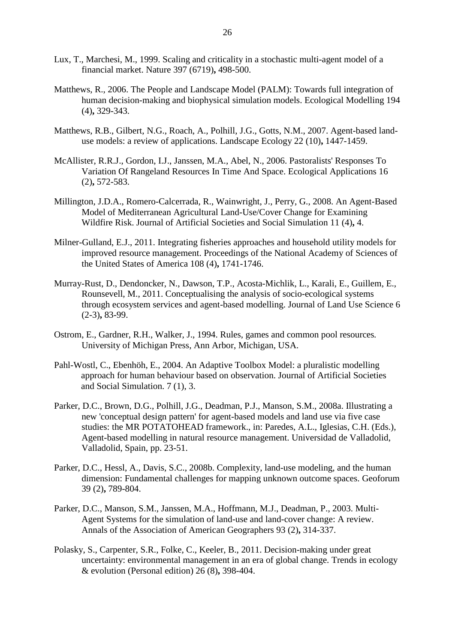- Lux, T., Marchesi, M., 1999. Scaling and criticality in a stochastic multi-agent model of a financial market. Nature 397 (6719)**,** 498-500.
- Matthews, R., 2006. The People and Landscape Model (PALM): Towards full integration of human decision-making and biophysical simulation models. Ecological Modelling 194 (4)**,** 329-343.
- Matthews, R.B., Gilbert, N.G., Roach, A., Polhill, J.G., Gotts, N.M., 2007. Agent-based landuse models: a review of applications. Landscape Ecology 22 (10)**,** 1447-1459.
- McAllister, R.R.J., Gordon, I.J., Janssen, M.A., Abel, N., 2006. Pastoralists' Responses To Variation Of Rangeland Resources In Time And Space. Ecological Applications 16 (2)**,** 572-583.
- Millington, J.D.A., Romero-Calcerrada, R., Wainwright, J., Perry, G., 2008. An Agent-Based Model of Mediterranean Agricultural Land-Use/Cover Change for Examining Wildfire Risk. Journal of Artificial Societies and Social Simulation 11 (4)**,** 4.
- Milner-Gulland, E.J., 2011. Integrating fisheries approaches and household utility models for improved resource management. Proceedings of the National Academy of Sciences of the United States of America 108 (4)**,** 1741-1746.
- Murray-Rust, D., Dendoncker, N., Dawson, T.P., Acosta-Michlik, L., Karali, E., Guillem, E., Rounsevell, M., 2011. Conceptualising the analysis of socio-ecological systems through ecosystem services and agent-based modelling. Journal of Land Use Science 6 (2-3)**,** 83-99.
- Ostrom, E., Gardner, R.H., Walker, J., 1994. Rules, games and common pool resources*.*  University of Michigan Press, Ann Arbor, Michigan, USA.
- Pahl-Wostl, C., Ebenhöh, E., 2004. An Adaptive Toolbox Model: a pluralistic modelling approach for human behaviour based on observation. Journal of Artificial Societies and Social Simulation. 7 (1), 3.
- Parker, D.C., Brown, D.G., Polhill, J.G., Deadman, P.J., Manson, S.M., 2008a. Illustrating a new 'conceptual design pattern' for agent-based models and land use via five case studies: the MR POTATOHEAD framework., in: Paredes, A.L., Iglesias, C.H. (Eds.), Agent-based modelling in natural resource management. Universidad de Valladolid, Valladolid, Spain, pp. 23-51.
- Parker, D.C., Hessl, A., Davis, S.C., 2008b. Complexity, land-use modeling, and the human dimension: Fundamental challenges for mapping unknown outcome spaces. Geoforum 39 (2)**,** 789-804.
- Parker, D.C., Manson, S.M., Janssen, M.A., Hoffmann, M.J., Deadman, P., 2003. Multi-Agent Systems for the simulation of land-use and land-cover change: A review. Annals of the Association of American Geographers 93 (2)**,** 314-337.
- Polasky, S., Carpenter, S.R., Folke, C., Keeler, B., 2011. Decision-making under great uncertainty: environmental management in an era of global change. Trends in ecology & evolution (Personal edition) 26 (8)**,** 398-404.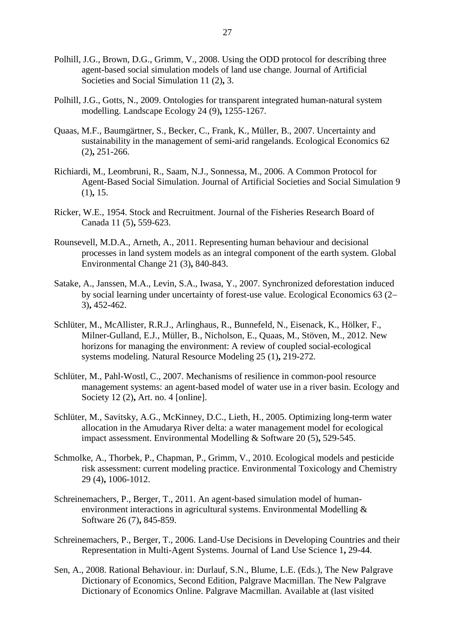- Polhill, J.G., Brown, D.G., Grimm, V., 2008. Using the ODD protocol for describing three agent-based social simulation models of land use change. Journal of Artificial Societies and Social Simulation 11 (2)**,** 3.
- Polhill, J.G., Gotts, N., 2009. Ontologies for transparent integrated human-natural system modelling. Landscape Ecology 24 (9)**,** 1255-1267.
- Quaas, M.F., Baumgärtner, S., Becker, C., Frank, K., Müller, B., 2007. Uncertainty and sustainability in the management of semi-arid rangelands. Ecological Economics 62 (2)**,** 251-266.
- Richiardi, M., Leombruni, R., Saam, N.J., Sonnessa, M., 2006. A Common Protocol for Agent-Based Social Simulation. Journal of Artificial Societies and Social Simulation 9 (1)**,** 15.
- Ricker, W.E., 1954. Stock and Recruitment. Journal of the Fisheries Research Board of Canada 11 (5)**,** 559-623.
- Rounsevell, M.D.A., Arneth, A., 2011. Representing human behaviour and decisional processes in land system models as an integral component of the earth system. Global Environmental Change 21 (3)**,** 840-843.
- Satake, A., Janssen, M.A., Levin, S.A., Iwasa, Y., 2007. Synchronized deforestation induced by social learning under uncertainty of forest-use value. Ecological Economics 63 (2− 3)**,** 452-462.
- Schlüter, M., McAllister, R.R.J., Arlinghaus, R., Bunnefeld, N., Eisenack, K., Hölker, F., Milner-Gulland, E.J., Müller, B., Nicholson, E., Quaas, M., Stöven, M., 2012. New horizons for managing the environment: A review of coupled social-ecological systems modeling. Natural Resource Modeling 25 (1)**,** 219-272.
- Schlüter, M., Pahl-Wostl, C., 2007. Mechanisms of resilience in common-pool resource management systems: an agent-based model of water use in a river basin. Ecology and Society 12 (2)**,** Art. no. 4 [online].
- Schlüter, M., Savitsky, A.G., McKinney, D.C., Lieth, H., 2005. Optimizing long-term water allocation in the Amudarya River delta: a water management model for ecological impact assessment. Environmental Modelling & Software 20 (5)**,** 529-545.
- Schmolke, A., Thorbek, P., Chapman, P., Grimm, V., 2010. Ecological models and pesticide risk assessment: current modeling practice. Environmental Toxicology and Chemistry 29 (4)**,** 1006-1012.
- Schreinemachers, P., Berger, T., 2011. An agent-based simulation model of humanenvironment interactions in agricultural systems. Environmental Modelling & Software 26 (7)**,** 845-859.
- Schreinemachers, P., Berger, T., 2006. Land-Use Decisions in Developing Countries and their Representation in Multi-Agent Systems. Journal of Land Use Science 1**,** 29-44.
- Sen, A., 2008. Rational Behaviour. in: Durlauf, S.N., Blume, L.E. (Eds.), The New Palgrave Dictionary of Economics, Second Edition, Palgrave Macmillan. The New Palgrave Dictionary of Economics Online. Palgrave Macmillan. Available at (last visited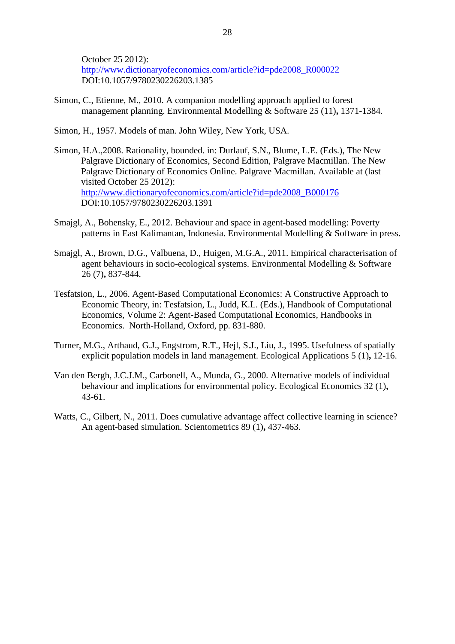October 25 2012): [http://www.dictionaryofeconomics.com/article?id=pde2008\\_R000022](http://www.dictionaryofeconomics.com/article?id=pde2008_R000022) DOI:10.1057/9780230226203.1385

- Simon, C., Etienne, M., 2010. A companion modelling approach applied to forest management planning. Environmental Modelling & Software 25 (11)**,** 1371-1384.
- Simon, H., 1957. Models of man*.* John Wiley, New York, USA.
- Simon, H.A.,2008. Rationality, bounded. in: Durlauf, S.N., Blume, L.E. (Eds.), The New Palgrave Dictionary of Economics, Second Edition, Palgrave Macmillan. The New Palgrave Dictionary of Economics Online. Palgrave Macmillan. Available at (last visited October 25 2012): [http://www.dictionaryofeconomics.com/article?id=pde2008\\_B000176](http://www.dictionaryofeconomics.com/article?id=pde2008_B000176) DOI:10.1057/9780230226203.1391
- Smajgl, A., Bohensky, E., 2012. Behaviour and space in agent-based modelling: Poverty patterns in East Kalimantan, Indonesia. Environmental Modelling & Software in press.
- Smajgl, A., Brown, D.G., Valbuena, D., Huigen, M.G.A., 2011. Empirical characterisation of agent behaviours in socio-ecological systems. Environmental Modelling & Software 26 (7)**,** 837-844.
- Tesfatsion, L., 2006. Agent-Based Computational Economics: A Constructive Approach to Economic Theory, in: Tesfatsion, L., Judd, K.L. (Eds.), Handbook of Computational Economics, Volume 2: Agent-Based Computational Economics, Handbooks in Economics. North-Holland, Oxford, pp. 831-880.
- Turner, M.G., Arthaud, G.J., Engstrom, R.T., Hejl, S.J., Liu, J., 1995. Usefulness of spatially explicit population models in land management. Ecological Applications 5 (1)**,** 12-16.
- Van den Bergh, J.C.J.M., Carbonell, A., Munda, G., 2000. Alternative models of individual behaviour and implications for environmental policy. Ecological Economics 32 (1)**,** 43-61.
- Watts, C., Gilbert, N., 2011. Does cumulative advantage affect collective learning in science? An agent-based simulation. Scientometrics 89 (1)**,** 437-463.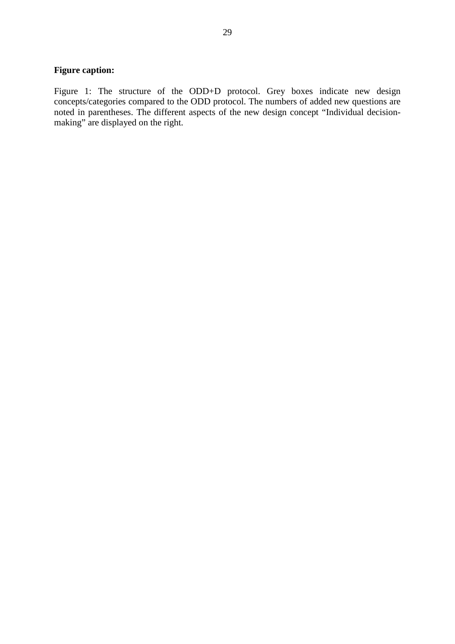### **Figure caption:**

Figure 1: The structure of the ODD+D protocol. Grey boxes indicate new design concepts/categories compared to the ODD protocol. The numbers of added new questions are noted in parentheses. The different aspects of the new design concept "Individual decisionmaking" are displayed on the right.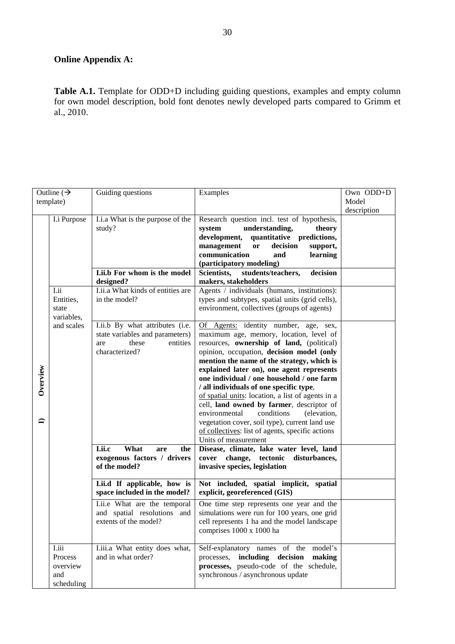## **Online Appendix A:**

**Table A.1.** Template for ODD+D including guiding questions, examples and empty column for own model description, bold font denotes newly developed parts compared to Grimm et al., 2010.

|          | Outline $\rightarrow$    | Guiding questions                          | Examples                                                                                                                                                                                                       | Own ODD+D   |
|----------|--------------------------|--------------------------------------------|----------------------------------------------------------------------------------------------------------------------------------------------------------------------------------------------------------------|-------------|
|          | template)                |                                            |                                                                                                                                                                                                                | Model       |
|          |                          |                                            |                                                                                                                                                                                                                | description |
|          | I.i Purpose              | I.i.a What is the purpose of the<br>study? | Research question incl. test of hypothesis,<br>understanding,<br>system<br>theory<br>development,<br>quantitative predictions,<br>decision<br>management<br>or<br>support,<br>communication<br>and<br>learning |             |
|          |                          |                                            | (participatory modeling)                                                                                                                                                                                       |             |
|          |                          | Lii.b For whom is the model<br>designed?   | decision<br>Scientists,<br>students/teachers,<br>makers, stakeholders                                                                                                                                          |             |
|          | $\overline{Li}$          | I.ii.a What kinds of entities are          | Agents / individuals (humans, institutions):                                                                                                                                                                   |             |
|          | Entities,                | in the model?                              | types and subtypes, spatial units (grid cells),                                                                                                                                                                |             |
|          | state                    |                                            | environment, collectives (groups of agents)                                                                                                                                                                    |             |
|          | variables,<br>and scales | I.ii.b By what attributes (i.e.            | Of Agents: identity number, age, sex,                                                                                                                                                                          |             |
|          |                          | state variables and parameters)            | maximum age, memory, location, level of                                                                                                                                                                        |             |
|          |                          | these<br>entities<br>are                   | resources, ownership of land, (political)                                                                                                                                                                      |             |
|          |                          | characterized?                             | opinion, occupation, decision model (only                                                                                                                                                                      |             |
|          |                          |                                            | mention the name of the strategy, which is                                                                                                                                                                     |             |
|          |                          |                                            | explained later on), one agent represents                                                                                                                                                                      |             |
| Overview |                          |                                            | one individual / one household / one farm                                                                                                                                                                      |             |
|          |                          |                                            | / all individuals of one specific type,                                                                                                                                                                        |             |
|          |                          |                                            | of spatial units: location, a list of agents in a<br>cell, land owned by farmer, descriptor of                                                                                                                 |             |
|          |                          |                                            | environmental<br>conditions<br>(elevation,                                                                                                                                                                     |             |
| ╒        |                          |                                            | vegetation cover, soil type), current land use                                                                                                                                                                 |             |
|          |                          |                                            | of collectives: list of agents, specific actions                                                                                                                                                               |             |
|          |                          |                                            | Units of measurement                                                                                                                                                                                           |             |
|          |                          | I.ii.c<br>What<br>the<br>are               | Disease, climate, lake water level, land                                                                                                                                                                       |             |
|          |                          | exogenous factors / drivers                | change,<br>tectonic<br>disturbances,<br>cover                                                                                                                                                                  |             |
|          |                          | of the model?                              | invasive species, legislation                                                                                                                                                                                  |             |
|          |                          | I.ii.d If applicable, how is               | Not included, spatial implicit, spatial                                                                                                                                                                        |             |
|          |                          | space included in the model?               | explicit, georeferenced (GIS)                                                                                                                                                                                  |             |
|          |                          | I.ii.e What are the temporal               | One time step represents one year and the                                                                                                                                                                      |             |
|          |                          | and spatial resolutions and                | simulations were run for 100 years, one grid                                                                                                                                                                   |             |
|          |                          | extents of the model?                      | cell represents 1 ha and the model landscape<br>comprises 1000 x 1000 ha                                                                                                                                       |             |
|          |                          |                                            |                                                                                                                                                                                                                |             |
|          | Liii                     | I.iii.a What entity does what,             | Self-explanatory names of the model's                                                                                                                                                                          |             |
|          | Process                  | and in what order?                         | processes, including decision<br>making                                                                                                                                                                        |             |
|          | overview                 |                                            | processes, pseudo-code of the schedule,                                                                                                                                                                        |             |
|          | and                      |                                            | synchronous / asynchronous update                                                                                                                                                                              |             |
|          | scheduling               |                                            |                                                                                                                                                                                                                |             |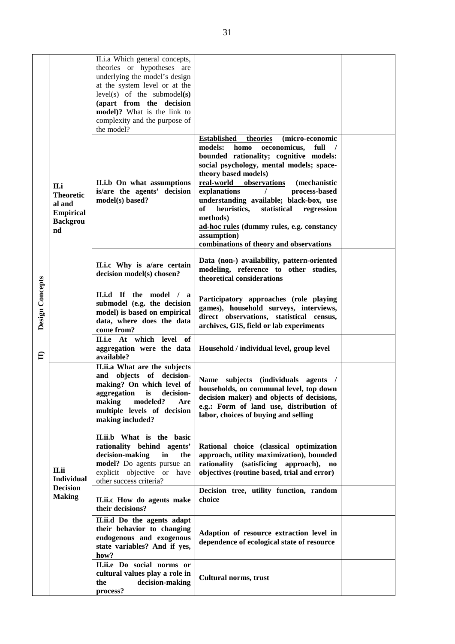| Design Concepts |                                                                              | II.i.a Which general concepts,<br>theories or hypotheses are<br>underlying the model's design<br>at the system level or at the<br>$level(s)$ of the submodel(s)<br>(apart from the decision<br>model)? What is the link to<br>complexity and the purpose of<br>the model? |                                                                                                                                                                                                                                                                                                                                                                                                                                                                                                                              |  |
|-----------------|------------------------------------------------------------------------------|---------------------------------------------------------------------------------------------------------------------------------------------------------------------------------------------------------------------------------------------------------------------------|------------------------------------------------------------------------------------------------------------------------------------------------------------------------------------------------------------------------------------------------------------------------------------------------------------------------------------------------------------------------------------------------------------------------------------------------------------------------------------------------------------------------------|--|
|                 | $II$ , i<br><b>Theoretic</b><br>al and<br>Empirical<br><b>Backgrou</b><br>nd | II.i.b On what assumptions<br>is/are the agents' decision<br>model(s) based?                                                                                                                                                                                              | theories<br><b>Established</b><br>(micro-economic<br>models:<br>homo<br>oeconomicus,<br>full<br>$\frac{1}{2}$<br>bounded rationality; cognitive models:<br>social psychology, mental models; space-<br>theory based models)<br>real-world observations<br>(mechanistic<br>explanations<br>T<br>process-based<br>understanding available; black-box, use<br>of<br>heuristics,<br>statistical<br>regression<br>methods)<br>ad-hoc rules (dummy rules, e.g. constancy<br>assumption)<br>combinations of theory and observations |  |
|                 |                                                                              | II.i.c Why is a/are certain<br>decision model(s) chosen?                                                                                                                                                                                                                  | Data (non-) availability, pattern-oriented<br>modeling, reference to other studies,<br>theoretical considerations                                                                                                                                                                                                                                                                                                                                                                                                            |  |
|                 |                                                                              | II.i.d If the model / a<br>submodel (e.g. the decision<br>model) is based on empirical<br>data, where does the data<br>come from?                                                                                                                                         | Participatory approaches (role playing<br>games), household surveys, interviews,<br>direct observations, statistical census,<br>archives, GIS, field or lab experiments                                                                                                                                                                                                                                                                                                                                                      |  |
| 日               |                                                                              | II.i.e At which level of<br>aggregation were the data<br>available?                                                                                                                                                                                                       | Household / individual level, group level                                                                                                                                                                                                                                                                                                                                                                                                                                                                                    |  |
|                 | II.ii<br><b>Individual</b>                                                   | II.ii.a What are the subjects<br>and objects of decision-<br>making? On which level of<br>aggregation is decision-<br>modeled?<br>making<br>Are<br>multiple levels of decision<br>making included?                                                                        | Name subjects (individuals agents /<br>households, on communal level, top down<br>decision maker) and objects of decisions,<br>e.g.: Form of land use, distribution of<br>labor, choices of buying and selling                                                                                                                                                                                                                                                                                                               |  |
|                 |                                                                              | II.ii.b What is the basic<br>rationality behind agents'<br>decision-making<br>in<br>the<br>model? Do agents pursue an<br>explicit objective or have<br>other success criteria?                                                                                            | Rational choice (classical optimization<br>approach, utility maximization), bounded<br>rationality (satisficing approach),<br>no<br>objectives (routine based, trial and error)                                                                                                                                                                                                                                                                                                                                              |  |
|                 | <b>Decision</b><br><b>Making</b>                                             | II.ii.c How do agents make<br>their decisions?                                                                                                                                                                                                                            | Decision tree, utility function, random<br>choice                                                                                                                                                                                                                                                                                                                                                                                                                                                                            |  |
|                 |                                                                              | II.ii.d Do the agents adapt<br>their behavior to changing<br>endogenous and exogenous<br>state variables? And if yes,<br>how?                                                                                                                                             | Adaption of resource extraction level in<br>dependence of ecological state of resource                                                                                                                                                                                                                                                                                                                                                                                                                                       |  |
|                 |                                                                              | II.ii.e Do social norms or<br>cultural values play a role in<br>decision-making<br>the<br>process?                                                                                                                                                                        | Cultural norms, trust                                                                                                                                                                                                                                                                                                                                                                                                                                                                                                        |  |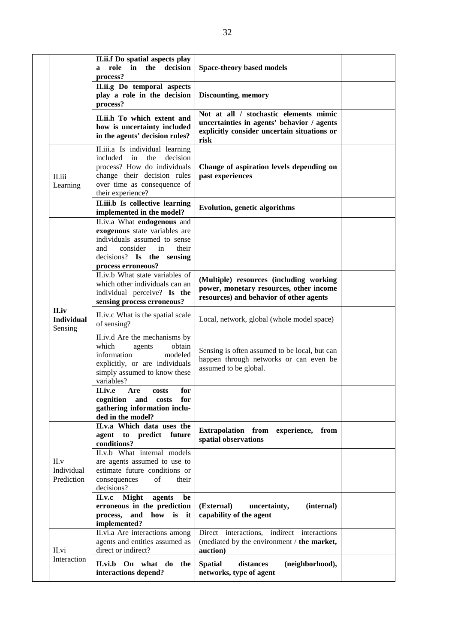|                                       | II.ii.f Do spatial aspects play<br>a role in the decision<br>process?                                                                                                                  | Space-theory based models                                                                                                                   |  |
|---------------------------------------|----------------------------------------------------------------------------------------------------------------------------------------------------------------------------------------|---------------------------------------------------------------------------------------------------------------------------------------------|--|
|                                       | II.ii.g Do temporal aspects<br>play a role in the decision<br>process?                                                                                                                 | <b>Discounting, memory</b>                                                                                                                  |  |
|                                       | II.ii.h To which extent and<br>how is uncertainty included<br>in the agents' decision rules?                                                                                           | Not at all / stochastic elements mimic<br>uncertainties in agents' behavior / agents<br>explicitly consider uncertain situations or<br>risk |  |
| II.iii<br>Learning                    | II.iii.a Is individual learning<br>included<br>decision<br>in<br>the<br>process? How do individuals<br>change their decision rules<br>over time as consequence of<br>their experience? | Change of aspiration levels depending on<br>past experiences                                                                                |  |
|                                       | II.iii.b Is collective learning<br>implemented in the model?                                                                                                                           | <b>Evolution, genetic algorithms</b>                                                                                                        |  |
|                                       | II.iv.a What endogenous and<br>exogenous state variables are<br>individuals assumed to sense<br>consider<br>their<br>and<br>in<br>decisions? Is the sensing<br>process erroneous?      |                                                                                                                                             |  |
|                                       | II.iv.b What state variables of<br>which other individuals can an<br>individual perceive? Is the<br>sensing process erroneous?                                                         | (Multiple) resources (including working<br>power, monetary resources, other income<br>resources) and behavior of other agents               |  |
| II.iv<br><b>Individual</b><br>Sensing | II.iv.c What is the spatial scale<br>of sensing?                                                                                                                                       | Local, network, global (whole model space)                                                                                                  |  |
|                                       | II.iv.d Are the mechanisms by<br>which<br>obtain<br>agents<br>information<br>modeled<br>explicitly, or are individuals<br>simply assumed to know these<br>variables?                   | Sensing is often assumed to be local, but can<br>happen through networks or can even be<br>assumed to be global.                            |  |
|                                       | II.iv.e<br>for<br>Are<br>costs<br>cognition and<br>costs for<br>gathering information inclu-<br>ded in the model?                                                                      |                                                                                                                                             |  |
|                                       | II.v.a Which data uses the<br>agent to predict future<br>conditions?                                                                                                                   | Extrapolation from experience, from<br>spatial observations                                                                                 |  |
| II.v<br>Individual<br>Prediction      | II.v.b What internal models<br>are agents assumed to use to<br>estimate future conditions or<br>consequences<br>of<br>their<br>decisions?                                              |                                                                                                                                             |  |
|                                       | II.v.c<br><b>Might</b><br>agents<br>be<br>erroneous in the prediction<br>and how is<br>process,<br>it<br>implemented?                                                                  | (External)<br>(internal)<br>uncertainty,<br>capability of the agent                                                                         |  |
| II.vi                                 | II.vi.a Are interactions among<br>agents and entities assumed as<br>direct or indirect?                                                                                                | Direct interactions, indirect interactions<br>(mediated by the environment / the market,<br>auction)                                        |  |
| Interaction                           | II.vi.b On what do<br>the<br>interactions depend?                                                                                                                                      | (neighborhood),<br><b>Spatial</b><br>distances<br>networks, type of agent                                                                   |  |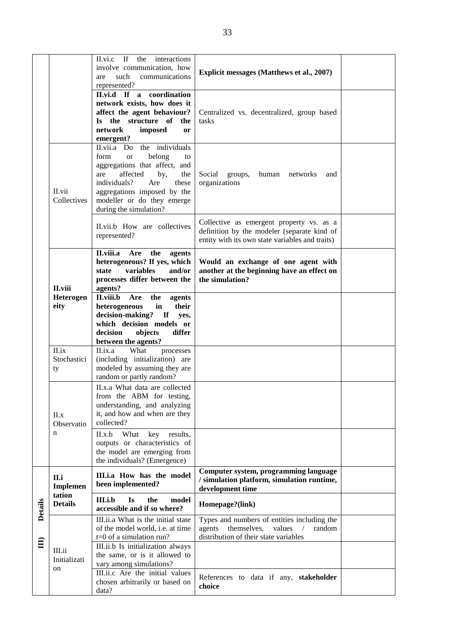|                 |                               | II.vi.c If the interactions<br>involve communication, how<br>such<br>communications<br>are<br>represented?                                                                                                                                                   | Explicit messages (Matthews et al., 2007)                                                                                                       |  |
|-----------------|-------------------------------|--------------------------------------------------------------------------------------------------------------------------------------------------------------------------------------------------------------------------------------------------------------|-------------------------------------------------------------------------------------------------------------------------------------------------|--|
|                 |                               | II.vi.d If a coordination<br>network exists, how does it<br>affect the agent behaviour?<br>Is the structure of the<br>network<br>imposed<br>or<br>emergent?                                                                                                  | Centralized vs. decentralized, group based<br>tasks                                                                                             |  |
|                 | II.vii<br>Collectives         | II.vii.a Do<br>the individuals<br>belong<br>form<br><b>or</b><br>to<br>aggregations that affect, and<br>affected<br>are<br>by,<br>the<br>individuals?<br>Are<br>these<br>aggregations imposed by the<br>modeller or do they emerge<br>during the simulation? | Social groups,<br>human networks<br>and<br>organizations                                                                                        |  |
|                 |                               | II.vii.b How are collectives<br>represented?                                                                                                                                                                                                                 | Collective as emergent property vs. as a<br>definition by the modeler (separate kind of<br>entity with its own state variables and traits)      |  |
| II.viii<br>eity |                               | II.viii.a<br>Are the<br>agents<br>heterogeneous? If yes, which<br>variables<br>state<br>and/or<br>processes differ between the<br>agents?                                                                                                                    | Would an exchange of one agent with<br>another at the beginning have an effect on<br>the simulation?                                            |  |
|                 | Heterogen                     | II.viii.b<br>Are<br>the<br>agents<br>heterogeneous<br>in<br>their<br>decision-making?<br>If<br>yes,<br>which decision models or<br>decision<br>differ<br>objects<br>between the agents?                                                                      |                                                                                                                                                 |  |
|                 | $II.$ ix<br>Stochastici<br>ty | II.ix.a<br>What<br>processes<br>(including initialization) are<br>modeled by assuming they are<br>random or partly random?                                                                                                                                   |                                                                                                                                                 |  |
|                 | II.x<br>Observatio            | II.x.a What data are collected<br>from the ABM for testing,<br>understanding, and analyzing<br>it, and how and when are they<br>collected?                                                                                                                   |                                                                                                                                                 |  |
|                 | n                             | II.x.b<br>What<br>key<br>results,<br>outputs or characteristics of<br>the model are emerging from<br>the individuals? (Emergence)                                                                                                                            |                                                                                                                                                 |  |
|                 | II.i<br>Implemen              | III.i.a How has the model<br>been implemented?                                                                                                                                                                                                               | Computer system, programming language<br>/ simulation platform, simulation runtime,<br>development time                                         |  |
| <b>Details</b>  | tation<br><b>Details</b>      | the<br>III.i.b<br><b>Is</b><br>model<br>accessible and if so where?                                                                                                                                                                                          | Homepage?(link)                                                                                                                                 |  |
| 旨               | III.ii<br>Initializati<br>on  | III.ii.a What is the initial state<br>of the model world, i.e. at time<br>$t=0$ of a simulation run?<br>III.ii.b Is initialization always                                                                                                                    | Types and numbers of entities including the<br>themselves,<br>agents<br>values<br>$\sqrt{2}$<br>random<br>distribution of their state variables |  |
|                 |                               | the same, or is it allowed to<br>vary among simulations?<br>III.ii.c Are the initial values<br>chosen arbitrarily or based on<br>data?                                                                                                                       | References to data if any, stakeholder<br>choice                                                                                                |  |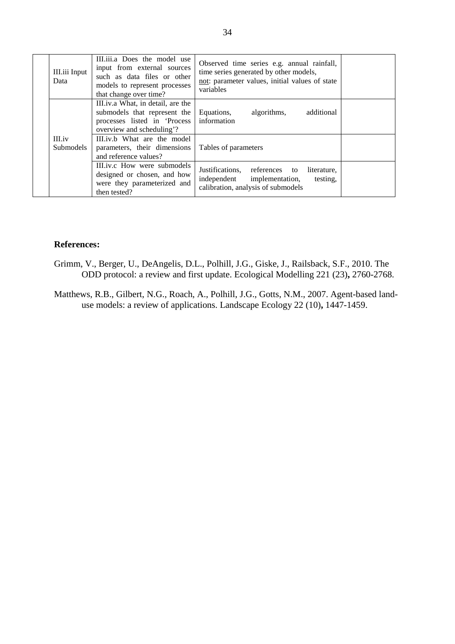| III.iii Input<br>Data | III.iii.a Does the model use<br>input from external sources<br>such as data files or other<br>models to represent processes<br>that change over time? | Observed time series e.g. annual rainfall,<br>time series generated by other models,<br>not: parameter values, initial values of state<br>variables |  |
|-----------------------|-------------------------------------------------------------------------------------------------------------------------------------------------------|-----------------------------------------------------------------------------------------------------------------------------------------------------|--|
|                       | III.iv.a What, in detail, are the<br>submodels that represent the<br>processes listed in 'Process<br>overview and scheduling'?                        | additional<br>Equations,<br>algorithms,<br>information                                                                                              |  |
| III.iv<br>Submodels   | III.iv.b What are the model<br>parameters, their dimensions<br>and reference values?                                                                  | Tables of parameters                                                                                                                                |  |
|                       | III.iv.c How were submodels<br>designed or chosen, and how<br>were they parameterized and<br>then tested?                                             | Justifications, references to literature,<br>independent implementation,<br>testing,<br>calibration, analysis of submodels                          |  |

#### **References:**

- Grimm, V., Berger, U., DeAngelis, D.L., Polhill, J.G., Giske, J., Railsback, S.F., 2010. The ODD protocol: a review and first update. Ecological Modelling 221 (23)**,** 2760-2768.
- Matthews, R.B., Gilbert, N.G., Roach, A., Polhill, J.G., Gotts, N.M., 2007. Agent-based landuse models: a review of applications. Landscape Ecology 22 (10)**,** 1447-1459.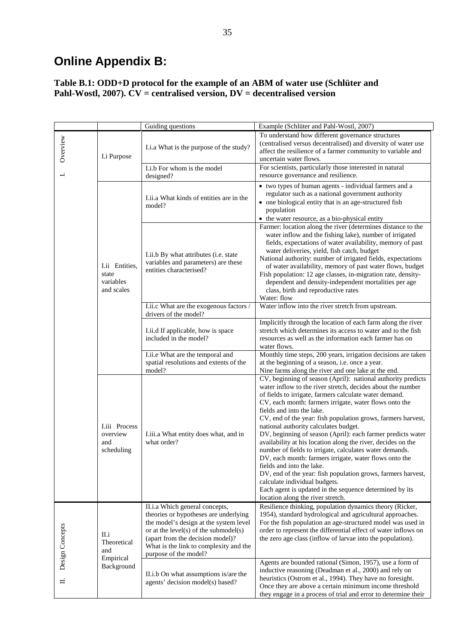# **Online Appendix B:**

**Table B.1: ODD+D protocol for the example of an ABM of water use (Schlüter and Pahl-Wostl, 2007). CV = centralised version, DV = decentralised version**

|                 |                                                    | Guiding questions                                                                                                                                                                                                                                                 | Example (Schlüter and Pahl-Wostl, 2007)                                                                                                                                                                                                                                                                                                                                                                                                                                                                                                                                                                                                                                                                                                                                                                                                                                 |
|-----------------|----------------------------------------------------|-------------------------------------------------------------------------------------------------------------------------------------------------------------------------------------------------------------------------------------------------------------------|-------------------------------------------------------------------------------------------------------------------------------------------------------------------------------------------------------------------------------------------------------------------------------------------------------------------------------------------------------------------------------------------------------------------------------------------------------------------------------------------------------------------------------------------------------------------------------------------------------------------------------------------------------------------------------------------------------------------------------------------------------------------------------------------------------------------------------------------------------------------------|
| Overview        | I.i Purpose                                        | I.i.a What is the purpose of the study?                                                                                                                                                                                                                           | To understand how different governance structures<br>(centralised versus decentralised) and diversity of water use<br>affect the resilience of a farmer community to variable and<br>uncertain water flows.                                                                                                                                                                                                                                                                                                                                                                                                                                                                                                                                                                                                                                                             |
|                 |                                                    | I.i.b For whom is the model<br>designed?                                                                                                                                                                                                                          | For scientists, particularly those interested in natural<br>resource governance and resilience.                                                                                                                                                                                                                                                                                                                                                                                                                                                                                                                                                                                                                                                                                                                                                                         |
|                 |                                                    | I.ii.a What kinds of entities are in the<br>model?                                                                                                                                                                                                                | • two types of human agents - individual farmers and a<br>regulator such as a national government authority<br>• one biological entity that is an age-structured fish<br>population<br>• the water resource, as a bio-physical entity                                                                                                                                                                                                                                                                                                                                                                                                                                                                                                                                                                                                                                   |
|                 | I.ii Entities,<br>state<br>variables<br>and scales | I.ii.b By what attributes (i.e. state<br>variables and parameters) are these<br>entities characterised?                                                                                                                                                           | Farmer: location along the river (determines distance to the<br>water inflow and the fishing lake), number of irrigated<br>fields, expectations of water availability, memory of past<br>water deliveries, yield, fish catch, budget<br>National authority: number of irrigated fields, expectations<br>of water availability, memory of past water flows, budget<br>Fish population: 12 age classes, in-migration rate, density-<br>dependent and density-independent mortalities per age<br>class, birth and reproductive rates<br>Water: flow                                                                                                                                                                                                                                                                                                                        |
|                 |                                                    | I.ii.c What are the exogenous factors /<br>drivers of the model?                                                                                                                                                                                                  | Water inflow into the river stretch from upstream.                                                                                                                                                                                                                                                                                                                                                                                                                                                                                                                                                                                                                                                                                                                                                                                                                      |
|                 |                                                    | I.ii.d If applicable, how is space<br>included in the model?                                                                                                                                                                                                      | Implicitly through the location of each farm along the river<br>stretch which determines its access to water and to the fish<br>resources as well as the information each farmer has on<br>water flows.                                                                                                                                                                                                                                                                                                                                                                                                                                                                                                                                                                                                                                                                 |
|                 |                                                    | I.ii.e What are the temporal and<br>spatial resolutions and extents of the<br>model?                                                                                                                                                                              | Monthly time steps, 200 years, irrigation decisions are taken<br>at the beginning of a season, i.e. once a year.<br>Nine farms along the river and one lake at the end.                                                                                                                                                                                                                                                                                                                                                                                                                                                                                                                                                                                                                                                                                                 |
|                 | I.iii Process<br>overview<br>and<br>scheduling     | Liii.a What entity does what, and in<br>what order?                                                                                                                                                                                                               | CV, beginning of season (April): national authority predicts<br>water inflow to the river stretch, decides about the number<br>of fields to irrigate, farmers calculate water demand.<br>CV, each month: farmers irrigate, water flows onto the<br>fields and into the lake.<br>CV, end of the year: fish population grows, farmers harvest,<br>national authority calculates budget.<br>DV, beginning of season (April): each farmer predicts water<br>availability at his location along the river, decides on the<br>number of fields to irrigate, calculates water demands.<br>DV, each month: farmers irrigate, water flows onto the<br>fields and into the lake.<br>DV, end of the year: fish population grows, farmers harvest,<br>calculate individual budgets.<br>Each agent is updated in the sequence determined by its<br>location along the river stretch. |
| Design Concepts | П.i<br>Theoretical<br>and<br>Empirical             | II.i.a Which general concepts,<br>theories or hypotheses are underlying<br>the model's design at the system level<br>or at the level(s) of the submodel(s)<br>(apart from the decision model)?<br>What is the link to complexity and the<br>purpose of the model? | Resilience thinking, population dynamics theory (Ricker,<br>1954), standard hydrological and agricultural approaches.<br>For the fish population an age-structured model was used in<br>order to represent the differential effect of water inflows on<br>the zero age class (inflow of larvae into the population).                                                                                                                                                                                                                                                                                                                                                                                                                                                                                                                                                    |
| $\mathbf{H}$    | Background                                         | II.i.b On what assumptions is/are the<br>agents' decision model(s) based?                                                                                                                                                                                         | Agents are bounded rational (Simon, 1957), use a form of<br>inductive reasoning (Deadman et al., 2000) and rely on<br>heuristics (Ostrom et al., 1994). They have no foresight.<br>Once they are above a certain minimum income threshold<br>they engage in a process of trial and error to determine their                                                                                                                                                                                                                                                                                                                                                                                                                                                                                                                                                             |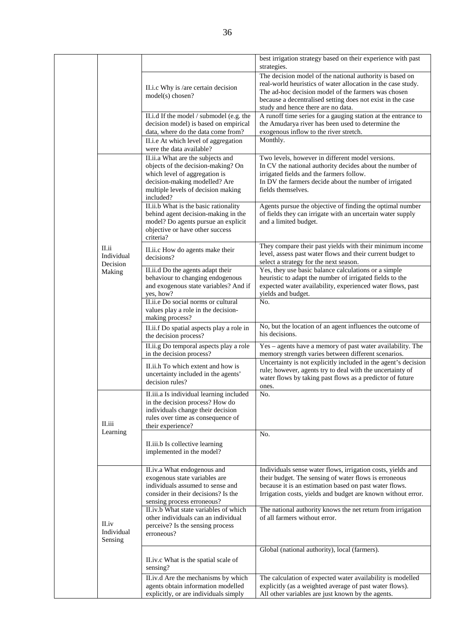|                                 |                                                                                                                                                                                              | best irrigation strategy based on their experience with past                                                                                                                                                                                                                        |
|---------------------------------|----------------------------------------------------------------------------------------------------------------------------------------------------------------------------------------------|-------------------------------------------------------------------------------------------------------------------------------------------------------------------------------------------------------------------------------------------------------------------------------------|
|                                 |                                                                                                                                                                                              | strategies.                                                                                                                                                                                                                                                                         |
|                                 | II.i.c Why is /are certain decision<br>model(s) chosen?                                                                                                                                      | The decision model of the national authority is based on<br>real-world heuristics of water allocation in the case study.<br>The ad-hoc decision model of the farmers was chosen<br>because a decentralised setting does not exist in the case<br>study and hence there are no data. |
|                                 | II.i.d If the model / submodel (e.g. the<br>decision model) is based on empirical<br>data, where do the data come from?                                                                      | A runoff time series for a gauging station at the entrance to<br>the Amudarya river has been used to determine the<br>exogenous inflow to the river stretch.                                                                                                                        |
|                                 | II.i.e At which level of aggregation<br>were the data available?                                                                                                                             | Monthly.                                                                                                                                                                                                                                                                            |
|                                 | II.ii.a What are the subjects and<br>objects of the decision-making? On<br>which level of aggregation is<br>decision-making modelled? Are<br>multiple levels of decision making<br>included? | Two levels, however in different model versions.<br>In CV the national authority decides about the number of<br>irrigated fields and the farmers follow.<br>In DV the farmers decide about the number of irrigated<br>fields themselves.                                            |
|                                 | II.ii.b What is the basic rationality<br>behind agent decision-making in the<br>model? Do agents pursue an explicit<br>objective or have other success<br>criteria?                          | Agents pursue the objective of finding the optimal number<br>of fields they can irrigate with an uncertain water supply<br>and a limited budget.                                                                                                                                    |
| II.ii<br>Individual<br>Decision | II.ii.c How do agents make their<br>decisions?                                                                                                                                               | They compare their past yields with their minimum income<br>level, assess past water flows and their current budget to<br>select a strategy for the next season.                                                                                                                    |
| Making                          | II.ii.d Do the agents adapt their<br>behaviour to changing endogenous<br>and exogenous state variables? And if<br>yes, how?                                                                  | Yes, they use basic balance calculations or a simple<br>heuristic to adapt the number of irrigated fields to the<br>expected water availability, experienced water flows, past<br>yields and budget.                                                                                |
|                                 | II.ii.e Do social norms or cultural<br>values play a role in the decision-<br>making process?                                                                                                | No.                                                                                                                                                                                                                                                                                 |
|                                 | II.ii.f Do spatial aspects play a role in<br>the decision process?                                                                                                                           | No, but the location of an agent influences the outcome of<br>his decisions.                                                                                                                                                                                                        |
|                                 | II.ii.g Do temporal aspects play a role<br>in the decision process?                                                                                                                          | Yes - agents have a memory of past water availability. The<br>memory strength varies between different scenarios.                                                                                                                                                                   |
|                                 | II.ii.h To which extent and how is<br>uncertainty included in the agents'<br>decision rules?                                                                                                 | Uncertainty is not explicitly included in the agent's decision<br>rule; however, agents try to deal with the uncertainty of<br>water flows by taking past flows as a predictor of future<br>ones.                                                                                   |
| II.iii                          | II.iii.a Is individual learning included<br>in the decision process? How do<br>individuals change their decision<br>rules over time as consequence of<br>their experience?                   | No.                                                                                                                                                                                                                                                                                 |
| Learning                        |                                                                                                                                                                                              | No.                                                                                                                                                                                                                                                                                 |
|                                 | II.iii.b Is collective learning<br>implemented in the model?                                                                                                                                 |                                                                                                                                                                                                                                                                                     |
|                                 | II.iv.a What endogenous and<br>exogenous state variables are<br>individuals assumed to sense and<br>consider in their decisions? Is the<br>sensing process erroneous?                        | Individuals sense water flows, irrigation costs, yields and<br>their budget. The sensing of water flows is erroneous<br>because it is an estimation based on past water flows.<br>Irrigation costs, yields and budget are known without error.                                      |
| II.iv<br>Individual<br>Sensing  | II.iv.b What state variables of which<br>other individuals can an individual<br>perceive? Is the sensing process<br>erroneous?                                                               | The national authority knows the net return from irrigation<br>of all farmers without error.                                                                                                                                                                                        |
|                                 | II.iv.c What is the spatial scale of<br>sensing?                                                                                                                                             | Global (national authority), local (farmers).                                                                                                                                                                                                                                       |
|                                 | II.iv.d Are the mechanisms by which<br>agents obtain information modelled<br>explicitly, or are individuals simply                                                                           | The calculation of expected water availability is modelled<br>explicitly (as a weighted average of past water flows).<br>All other variables are just known by the agents.                                                                                                          |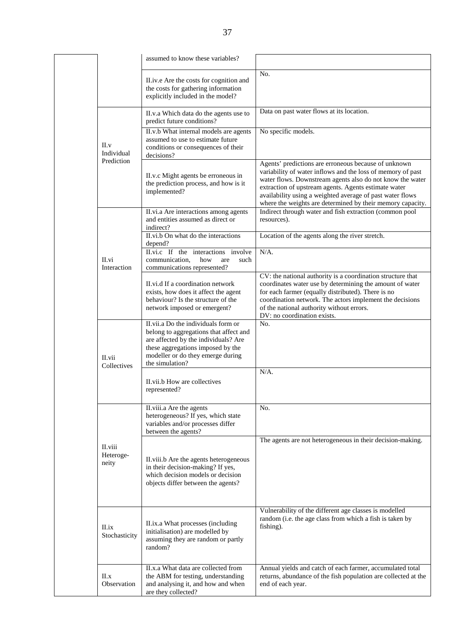|  |                                  | assumed to know these variables?                                                                                                                                                                                   |                                                                                                                                                                                                                                                                                                                                                                     |
|--|----------------------------------|--------------------------------------------------------------------------------------------------------------------------------------------------------------------------------------------------------------------|---------------------------------------------------------------------------------------------------------------------------------------------------------------------------------------------------------------------------------------------------------------------------------------------------------------------------------------------------------------------|
|  |                                  | II.iv.e Are the costs for cognition and<br>the costs for gathering information<br>explicitly included in the model?                                                                                                | No.                                                                                                                                                                                                                                                                                                                                                                 |
|  | II.v<br>Individual<br>Prediction | II.v.a Which data do the agents use to<br>predict future conditions?                                                                                                                                               | Data on past water flows at its location.                                                                                                                                                                                                                                                                                                                           |
|  |                                  | II.v.b What internal models are agents<br>assumed to use to estimate future<br>conditions or consequences of their<br>decisions?                                                                                   | No specific models.                                                                                                                                                                                                                                                                                                                                                 |
|  |                                  | II.v.c Might agents be erroneous in<br>the prediction process, and how is it<br>implemented?                                                                                                                       | Agents' predictions are erroneous because of unknown<br>variability of water inflows and the loss of memory of past<br>water flows. Downstream agents also do not know the water<br>extraction of upstream agents. Agents estimate water<br>availability using a weighted average of past water flows<br>where the weights are determined by their memory capacity. |
|  |                                  | II.vi.a Are interactions among agents<br>and entities assumed as direct or<br>indirect?                                                                                                                            | Indirect through water and fish extraction (common pool<br>resources).                                                                                                                                                                                                                                                                                              |
|  |                                  | II.vi.b On what do the interactions<br>depend?                                                                                                                                                                     | Location of the agents along the river stretch.                                                                                                                                                                                                                                                                                                                     |
|  | II.vi<br>Interaction             | II.vi.c If the interactions involve<br>how<br>communication,<br>are<br>such<br>communications represented?                                                                                                         | $N/A$ .                                                                                                                                                                                                                                                                                                                                                             |
|  |                                  | II.vi.d If a coordination network<br>exists, how does it affect the agent<br>behaviour? Is the structure of the<br>network imposed or emergent?                                                                    | CV: the national authority is a coordination structure that<br>coordinates water use by determining the amount of water<br>for each farmer (equally distributed). There is no<br>coordination network. The actors implement the decisions<br>of the national authority without errors.<br>DV: no coordination exists.                                               |
|  | II.vii<br>Collectives            | II.vii.a Do the individuals form or<br>belong to aggregations that affect and<br>are affected by the individuals? Are<br>these aggregations imposed by the<br>modeller or do they emerge during<br>the simulation? | No.                                                                                                                                                                                                                                                                                                                                                                 |
|  |                                  | II.vii.b How are collectives<br>represented?                                                                                                                                                                       | $N/A$ .                                                                                                                                                                                                                                                                                                                                                             |
|  |                                  | II.viii.a Are the agents<br>heterogeneous? If yes, which state<br>variables and/or processes differ<br>between the agents?                                                                                         | No.                                                                                                                                                                                                                                                                                                                                                                 |
|  | II.viii<br>Heteroge-<br>neity    | II.viii.b Are the agents heterogeneous<br>in their decision-making? If yes,<br>which decision models or decision<br>objects differ between the agents?                                                             | The agents are not heterogeneous in their decision-making.                                                                                                                                                                                                                                                                                                          |
|  | II.ix<br>Stochasticity           | II.ix.a What processes (including<br>initialisation) are modelled by<br>assuming they are random or partly<br>random?                                                                                              | Vulnerability of the different age classes is modelled<br>random (i.e. the age class from which a fish is taken by<br>fishing).                                                                                                                                                                                                                                     |
|  | II.x<br>Observation              | II.x.a What data are collected from<br>the ABM for testing, understanding<br>and analysing it, and how and when<br>are they collected?                                                                             | Annual yields and catch of each farmer, accumulated total<br>returns, abundance of the fish population are collected at the<br>end of each year.                                                                                                                                                                                                                    |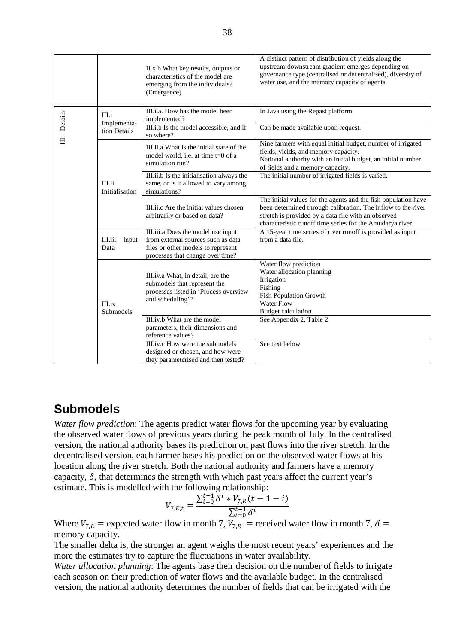|               |                                      | II.x.b What key results, outputs or<br>characteristics of the model are<br>emerging from the individuals?<br>(Emergence)                           | A distinct pattern of distribution of yields along the<br>upstream-downstream gradient emerges depending on<br>governance type (centralised or decentralised), diversity of<br>water use, and the memory capacity of agents.                       |
|---------------|--------------------------------------|----------------------------------------------------------------------------------------------------------------------------------------------------|----------------------------------------------------------------------------------------------------------------------------------------------------------------------------------------------------------------------------------------------------|
| Details<br>Ħ. | III.i<br>Implementa-<br>tion Details | III.i.a. How has the model been<br>implemented?<br>III.i.b Is the model accessible, and if<br>so where?                                            | In Java using the Repast platform.<br>Can be made available upon request.                                                                                                                                                                          |
|               | III.ii<br>Initialisation             | III.ii.a What is the initial state of the<br>model world, i.e. at time $t=0$ of a<br>simulation run?                                               | Nine farmers with equal initial budget, number of irrigated<br>fields, yields, and memory capacity.<br>National authority with an initial budget, an initial number<br>of fields and a memory capacity.                                            |
|               |                                      | III.ii.b Is the initialisation always the<br>same, or is it allowed to vary among<br>simulations?                                                  | The initial number of irrigated fields is varied.                                                                                                                                                                                                  |
|               |                                      | III.ii.c Are the initial values chosen<br>arbitrarily or based on data?                                                                            | The initial values for the agents and the fish population have<br>been determined through calibration. The inflow to the river<br>stretch is provided by a data file with an observed<br>characteristic runoff time series for the Amudarya river. |
|               | III.iii<br>Input<br>Data             | III.iii.a Does the model use input<br>from external sources such as data<br>files or other models to represent<br>processes that change over time? | A 15-year time series of river runoff is provided as input<br>from a data file.                                                                                                                                                                    |
|               | III.iv<br>Submodels                  | III.iv.a What, in detail, are the<br>submodels that represent the<br>processes listed in 'Process overview<br>and scheduling'?                     | Water flow prediction<br>Water allocation planning<br>Irrigation<br>Fishing<br>Fish Population Growth<br><b>Water Flow</b><br>Budget calculation                                                                                                   |
|               |                                      | III.iv.b What are the model<br>parameters, their dimensions and<br>reference values?                                                               | See Appendix 2, Table 2                                                                                                                                                                                                                            |
|               |                                      | III.iv.c How were the submodels<br>designed or chosen, and how were<br>they parameterised and then tested?                                         | See text below.                                                                                                                                                                                                                                    |

## **Submodels**

*Water flow prediction*: The agents predict water flows for the upcoming year by evaluating the observed water flows of previous years during the peak month of July. In the centralised version, the national authority bases its prediction on past flows into the river stretch. In the decentralised version, each farmer bases his prediction on the observed water flows at his location along the river stretch. Both the national authority and farmers have a memory capacity,  $\delta$ , that determines the strength with which past years affect the current year's estimate. This is modelled with the following relationship:

$$
V_{7,E,t} = \frac{\sum_{i=0}^{t-1} \delta^i * V_{7,R}(t-1-i)}{\sum_{i=0}^{t-1} \delta^i}
$$

Where  $V_{7,E}$  = expected water flow in month 7,  $V_{7,R}$  = received water flow in month 7,  $\delta$  = memory capacity.

The smaller delta is, the stronger an agent weighs the most recent years' experiences and the more the estimates try to capture the fluctuations in water availability.

*Water allocation planning*: The agents base their decision on the number of fields to irrigate each season on their prediction of water flows and the available budget. In the centralised version, the national authority determines the number of fields that can be irrigated with the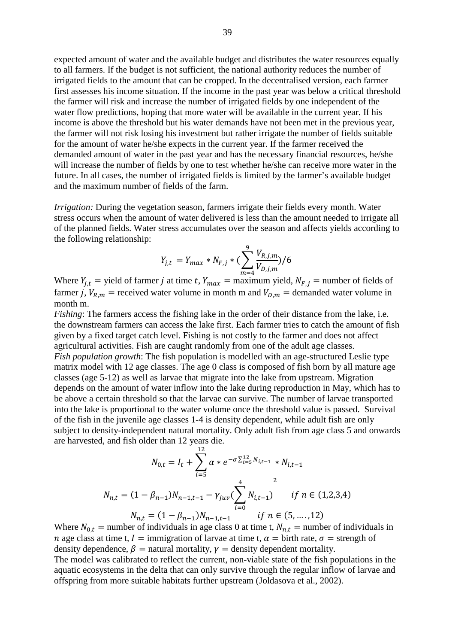expected amount of water and the available budget and distributes the water resources equally to all farmers. If the budget is not sufficient, the national authority reduces the number of irrigated fields to the amount that can be cropped. In the decentralised version, each farmer first assesses his income situation. If the income in the past year was below a critical threshold the farmer will risk and increase the number of irrigated fields by one independent of the water flow predictions, hoping that more water will be available in the current year. If his income is above the threshold but his water demands have not been met in the previous year, the farmer will not risk losing his investment but rather irrigate the number of fields suitable for the amount of water he/she expects in the current year. If the farmer received the demanded amount of water in the past year and has the necessary financial resources, he/she will increase the number of fields by one to test whether he/she can receive more water in the future. In all cases, the number of irrigated fields is limited by the farmer's available budget and the maximum number of fields of the farm.

*Irrigation:* During the vegetation season, farmers irrigate their fields every month. Water stress occurs when the amount of water delivered is less than the amount needed to irrigate all of the planned fields. Water stress accumulates over the season and affects yields according to the following relationship:

$$
Y_{j,t} = Y_{max} * N_{F,j} * (\sum_{m=4}^{9} \frac{V_{R,j,m}}{V_{D,j,m}})/6
$$

Where  $Y_{j,t}$  = yield of farmer *j* at time *t*,  $Y_{max}$  = maximum yield,  $N_{F,j}$  = number of fields of farmer j,  $V_{R,m}$  = received water volume in month m and  $V_{D,m}$  = demanded water volume in month m.

*Fishing*: The farmers access the fishing lake in the order of their distance from the lake, i.e. the downstream farmers can access the lake first. Each farmer tries to catch the amount of fish given by a fixed target catch level. Fishing is not costly to the farmer and does not affect agricultural activities. Fish are caught randomly from one of the adult age classes. *Fish population growth*: The fish population is modelled with an age-structured Leslie type matrix model with 12 age classes. The age 0 class is composed of fish born by all mature age classes (age 5-12) as well as larvae that migrate into the lake from upstream. Migration depends on the amount of water inflow into the lake during reproduction in May, which has to be above a certain threshold so that the larvae can survive. The number of larvae transported into the lake is proportional to the water volume once the threshold value is passed. Survival of the fish in the juvenile age classes 1-4 is density dependent, while adult fish are only subject to density-independent natural mortality. Only adult fish from age class 5 and onwards are harvested, and fish older than 12 years die.

$$
N_{0,t} = I_t + \sum_{i=5}^{12} \alpha * e^{-\sigma \sum_{i=5}^{12} N_{i,t-1}} * N_{i,t-1}
$$
  

$$
N_{n,t} = (1 - \beta_{n-1})N_{n-1,t-1} - \gamma_{juv} (\sum_{i=0}^{4} N_{i,t-1}) \quad \text{if } n \in (1,2,3,4)
$$
  

$$
N_{n,t} = (1 - \beta_{n-1})N_{n-1,t-1} \quad \text{if } n \in (5, \dots,12)
$$

Where  $N_{0,t}$  = number of individuals in age class 0 at time t,  $N_{n,t}$  = number of individuals in *n* age class at time t,  $I =$  immigration of larvae at time t,  $\alpha =$  birth rate,  $\sigma =$  strength of density dependence,  $\beta$  = natural mortality,  $\gamma$  = density dependent mortality. The model was calibrated to reflect the current, non-viable state of the fish populations in the

aquatic ecosystems in the delta that can only survive through the regular inflow of larvae and offspring from more suitable habitats further upstream (Joldasova et al., 2002).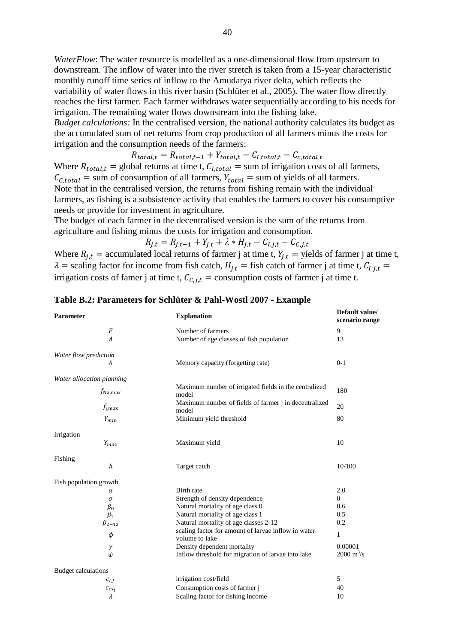*WaterFlow*: The water resource is modelled as a one-dimensional flow from upstream to downstream. The inflow of water into the river stretch is taken from a 15-year characteristic monthly runoff time series of inflow to the Amudarya river delta, which reflects the variability of water flows in this river basin (Schlüter et al., 2005). The water flow directly reaches the first farmer. Each farmer withdraws water sequentially according to his needs for irrigation. The remaining water flows downstream into the fishing lake.

*Budget calculations:* In the centralised version, the national authority calculates its budget as the accumulated sum of net returns from crop production of all farmers minus the costs for irrigation and the consumption needs of the farmers:

 $R_{total,t} = R_{total,t-1} + Y_{total,t} - C_{I,total,t} - C_{c,total,t}$ Where  $R_{total,t}$  = global returns at time t,  $C_{l,total}$  = sum of irrigation costs of all farmers,  $C_{C, total}$  = sum of consumption of all farmers,  $Y_{total}$  = sum of yields of all farmers. Note that in the centralised version, the returns from fishing remain with the individual farmers, as fishing is a subsistence activity that enables the farmers to cover his consumptive needs or provide for investment in agriculture.

The budget of each farmer in the decentralised version is the sum of the returns from agriculture and fishing minus the costs for irrigation and consumption.

$$
R_{j,t} = R_{j,t-1} + Y_{j,t} + \lambda * H_{j,t} - C_{I,j,t} - C_{C,j,t}
$$

Where  $R_{i,t}$  = accumulated local returns of farmer j at time t,  $Y_{i,t}$  = yields of farmer j at time t,  $\lambda$  = scaling factor for income from fish catch,  $H_{i,t}$  = fish catch of farmer j at time t,  $C_{i,i,t}$  = irrigation costs of famer j at time t,  $C_{C,i,t}$  = consumption costs of farmer j at time t.

| <b>Explanation</b><br>Parameter |                                                                       | Default value/<br>scenario range |
|---------------------------------|-----------------------------------------------------------------------|----------------------------------|
| F                               | Number of farmers                                                     | 9                                |
| $\boldsymbol{A}$                | Number of age classes of fish population                              | 13                               |
| Water flow prediction           |                                                                       |                                  |
| δ                               | Memory capacity (forgetting rate)                                     | $0 - 1$                          |
| Water allocation planning       |                                                                       |                                  |
| $f_{\text{Na,max}}$             | Maximum number of irrigated fields in the centralized<br>model        | 180                              |
| $f_{j,\max}$                    | Maximum number of fields of farmer j in decentralized<br>model        | 20                               |
| $Y_{min}$                       | Minimum yield threshold                                               | 80                               |
| Irrigation                      |                                                                       |                                  |
| $Y_{max}$                       | Maximum yield                                                         | 10                               |
| Fishing                         |                                                                       |                                  |
| h                               | Target catch                                                          | 10/100                           |
| Fish population growth          |                                                                       |                                  |
| α                               | Birth rate                                                            | 2.0                              |
| σ                               | Strength of density dependence                                        | $\overline{0}$                   |
| $\beta_0$                       | Natural mortality of age class 0                                      | 0.6                              |
| $\beta_1$                       | Natural mortality of age class 1                                      | 0.5                              |
| $\beta_{2-12}$                  | Natural mortality of age classes 2-12                                 | 0.2                              |
| $\phi$                          | scaling factor for amount of larvae inflow in water<br>volume to lake | 1                                |
| γ                               | Density dependent mortality                                           | 0.00001                          |
| ψ                               | Inflow threshold for migration of larvae into lake                    | $2000 \text{ m}^3/\text{s}$      |
| <b>Budget calculations</b>      |                                                                       |                                  |
| $c_{I,f}$                       | irrigation cost/field                                                 | 5                                |
| $c_{C}$                         | Consumption costs of farmer j                                         | 40                               |
| λ                               | Scaling factor for fishing income                                     | 10                               |

#### **Table B.2: Parameters for Schlüter & Pahl-Wostl 2007 - Example**